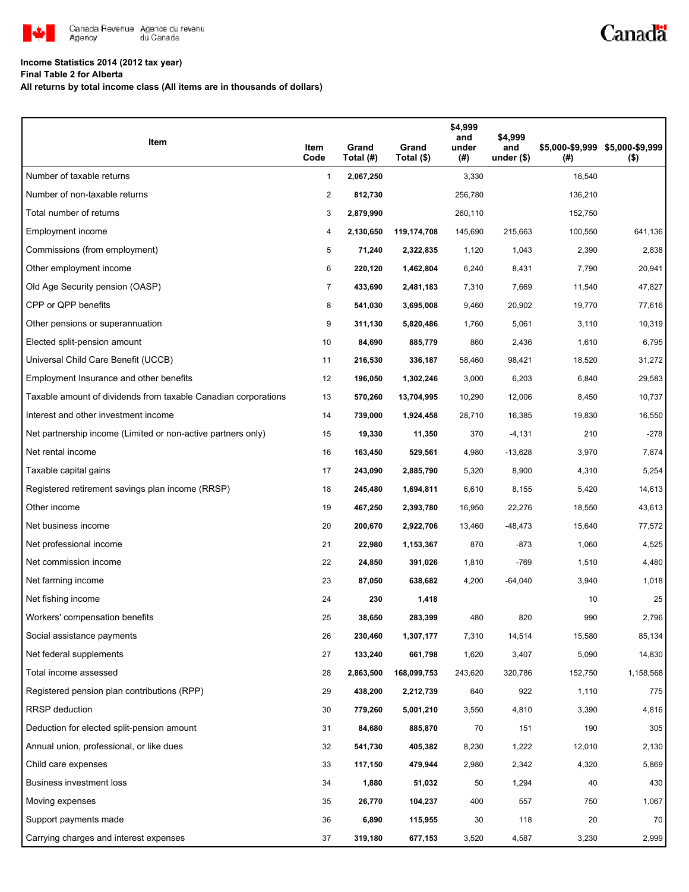

## **Income Statistics 2014 (2012 tax year)**

**Final Table 2 for Alberta**

**All returns by total income class (All items are in thousands of dollars)**

| Item                                                           | Item<br>Code   | Grand<br>Total (#) | Grand<br>Total (\$) | \$4,999<br>and<br>under<br>(#) | \$4,999<br>and<br>under $($)$ | (#)     | \$5,000-\$9,999 \$5,000-\$9,999<br>$($ \$) |
|----------------------------------------------------------------|----------------|--------------------|---------------------|--------------------------------|-------------------------------|---------|--------------------------------------------|
| Number of taxable returns                                      | 1              | 2,067,250          |                     | 3,330                          |                               | 16,540  |                                            |
| Number of non-taxable returns                                  | $\overline{c}$ | 812,730            |                     | 256,780                        |                               | 136,210 |                                            |
| Total number of returns                                        | 3              | 2,879,990          |                     | 260,110                        |                               | 152,750 |                                            |
| Employment income                                              | 4              | 2,130,650          | 119,174,708         | 145,690                        | 215.663                       | 100,550 | 641,136                                    |
| Commissions (from employment)                                  | 5              | 71,240             | 2,322,835           | 1,120                          | 1,043                         | 2,390   | 2,838                                      |
| Other employment income                                        | 6              | 220,120            | 1,462,804           | 6,240                          | 8,431                         | 7,790   | 20,941                                     |
| Old Age Security pension (OASP)                                | $\overline{7}$ | 433,690            | 2,481,183           | 7,310                          | 7,669                         | 11,540  | 47,827                                     |
| CPP or QPP benefits                                            | 8              | 541,030            | 3,695,008           | 9,460                          | 20,902                        | 19,770  | 77,616                                     |
| Other pensions or superannuation                               | 9              | 311,130            | 5,820,486           | 1,760                          | 5,061                         | 3,110   | 10,319                                     |
| Elected split-pension amount                                   | 10             | 84,690             | 885,779             | 860                            | 2,436                         | 1,610   | 6,795                                      |
| Universal Child Care Benefit (UCCB)                            | 11             | 216,530            | 336,187             | 58,460                         | 98,421                        | 18,520  | 31,272                                     |
| Employment Insurance and other benefits                        | 12             | 196,050            | 1,302,246           | 3,000                          | 6,203                         | 6,840   | 29,583                                     |
| Taxable amount of dividends from taxable Canadian corporations | 13             | 570,260            | 13,704,995          | 10,290                         | 12,006                        | 8,450   | 10,737                                     |
| Interest and other investment income                           | 14             | 739,000            | 1,924,458           | 28,710                         | 16,385                        | 19,830  | 16,550                                     |
| Net partnership income (Limited or non-active partners only)   | 15             | 19,330             | 11,350              | 370                            | $-4,131$                      | 210     | $-278$                                     |
| Net rental income                                              | 16             | 163,450            | 529,561             | 4,980                          | $-13,628$                     | 3,970   | 7,874                                      |
| Taxable capital gains                                          | 17             | 243,090            | 2,885,790           | 5,320                          | 8,900                         | 4,310   | 5,254                                      |
| Registered retirement savings plan income (RRSP)               | 18             | 245,480            | 1,694,811           | 6,610                          | 8,155                         | 5,420   | 14,613                                     |
| Other income                                                   | 19             | 467,250            | 2,393,780           | 16,950                         | 22,276                        | 18,550  | 43,613                                     |
| Net business income                                            | 20             | 200,670            | 2,922,706           | 13,460                         | $-48,473$                     | 15,640  | 77,572                                     |
| Net professional income                                        | 21             | 22,980             | 1,153,367           | 870                            | $-873$                        | 1,060   | 4,525                                      |
| Net commission income                                          | 22             | 24,850             | 391,026             | 1,810                          | $-769$                        | 1,510   | 4,480                                      |
| Net farming income                                             | 23             | 87,050             | 638,682             | 4,200                          | $-64,040$                     | 3,940   | 1,018                                      |
| Net fishing income                                             | 24             | 230                | 1,418               |                                |                               | 10      | 25                                         |
| Workers' compensation benefits                                 | 25             | 38,650             | 283,399             | 480                            | 820                           | 990     | 2,796                                      |
| Social assistance payments                                     | 26             | 230,460            | 1,307,177           | 7,310                          | 14,514                        | 15,580  | 85,134                                     |
| Net federal supplements                                        | 27             | 133,240            | 661,798             | 1,620                          | 3,407                         | 5,090   | 14,830                                     |
| Total income assessed                                          | 28             | 2,863,500          | 168,099,753         | 243,620                        | 320,786                       | 152,750 | 1,158,568                                  |
| Registered pension plan contributions (RPP)                    | 29             | 438,200            | 2,212,739           | 640                            | 922                           | 1,110   | 775                                        |
| <b>RRSP</b> deduction                                          | 30             | 779,260            | 5,001,210           | 3,550                          | 4,810                         | 3,390   | 4,816                                      |
| Deduction for elected split-pension amount                     | 31             | 84,680             | 885,870             | 70                             | 151                           | 190     | 305                                        |
| Annual union, professional, or like dues                       | 32             | 541,730            | 405,382             | 8,230                          | 1,222                         | 12,010  | 2,130                                      |
| Child care expenses                                            | 33             | 117,150            | 479,944             | 2,980                          | 2,342                         | 4,320   | 5,869                                      |
| Business investment loss                                       | 34             | 1,880              | 51,032              | 50                             | 1,294                         | 40      | 430                                        |
| Moving expenses                                                | 35             | 26,770             | 104,237             | 400                            | 557                           | 750     | 1,067                                      |
| Support payments made                                          | 36             | 6,890              | 115,955             | 30                             | 118                           | 20      | 70                                         |
| Carrying charges and interest expenses                         | 37             | 319,180            | 677,153             | 3,520                          | 4,587                         | 3,230   | 2,999                                      |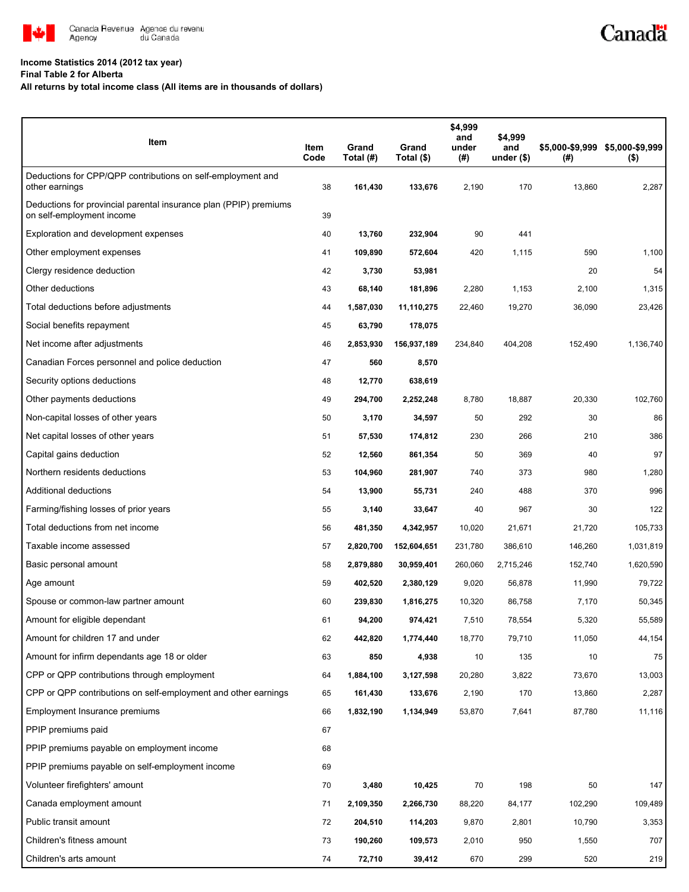

## **Income Statistics 2014 (2012 tax year)**

**Final Table 2 for Alberta**

**All returns by total income class (All items are in thousands of dollars)**

| Item                                                                                           | Item<br>Code | Grand<br>Total (#) | Grand<br>Total (\$) | \$4,999<br>and<br>under<br>(# ) | \$4,999<br>and<br>under $($)$ | $^{(\#)}$ | \$5,000-\$9,999 \$5,000-\$9,999<br>$($ \$) |
|------------------------------------------------------------------------------------------------|--------------|--------------------|---------------------|---------------------------------|-------------------------------|-----------|--------------------------------------------|
| Deductions for CPP/QPP contributions on self-employment and<br>other earnings                  | 38           | 161,430            | 133,676             | 2,190                           | 170                           | 13,860    | 2,287                                      |
| Deductions for provincial parental insurance plan (PPIP) premiums<br>on self-employment income | 39           |                    |                     |                                 |                               |           |                                            |
| Exploration and development expenses                                                           | 40           | 13,760             | 232,904             | 90                              | 441                           |           |                                            |
| Other employment expenses                                                                      | 41           | 109,890            | 572,604             | 420                             | 1,115                         | 590       | 1,100                                      |
| Clergy residence deduction                                                                     | 42           | 3,730              | 53,981              |                                 |                               | 20        | 54                                         |
| Other deductions                                                                               | 43           | 68,140             | 181,896             | 2,280                           | 1,153                         | 2,100     | 1,315                                      |
| Total deductions before adjustments                                                            | 44           | 1,587,030          | 11,110,275          | 22,460                          | 19,270                        | 36,090    | 23,426                                     |
| Social benefits repayment                                                                      | 45           | 63,790             | 178,075             |                                 |                               |           |                                            |
| Net income after adjustments                                                                   | 46           | 2,853,930          | 156,937,189         | 234,840                         | 404,208                       | 152,490   | 1,136,740                                  |
| Canadian Forces personnel and police deduction                                                 | 47           | 560                | 8,570               |                                 |                               |           |                                            |
| Security options deductions                                                                    | 48           | 12,770             | 638,619             |                                 |                               |           |                                            |
| Other payments deductions                                                                      | 49           | 294,700            | 2,252,248           | 8,780                           | 18,887                        | 20,330    | 102,760                                    |
| Non-capital losses of other years                                                              | 50           | 3,170              | 34,597              | 50                              | 292                           | 30        | 86                                         |
| Net capital losses of other years                                                              | 51           | 57,530             | 174,812             | 230                             | 266                           | 210       | 386                                        |
| Capital gains deduction                                                                        | 52           | 12,560             | 861,354             | 50                              | 369                           | 40        | 97                                         |
| Northern residents deductions                                                                  | 53           | 104,960            | 281,907             | 740                             | 373                           | 980       | 1,280                                      |
| Additional deductions                                                                          | 54           | 13,900             | 55,731              | 240                             | 488                           | 370       | 996                                        |
| Farming/fishing losses of prior years                                                          | 55           | 3,140              | 33,647              | 40                              | 967                           | 30        | 122                                        |
| Total deductions from net income                                                               | 56           | 481,350            | 4,342,957           | 10,020                          | 21,671                        | 21,720    | 105,733                                    |
| Taxable income assessed                                                                        | 57           | 2,820,700          | 152,604,651         | 231,780                         | 386,610                       | 146,260   | 1,031,819                                  |
| Basic personal amount                                                                          | 58           | 2,879,880          | 30,959,401          | 260,060                         | 2,715,246                     | 152,740   | 1,620,590                                  |
| Age amount                                                                                     | 59           | 402,520            | 2,380,129           | 9,020                           | 56,878                        | 11,990    | 79,722                                     |
| Spouse or common-law partner amount                                                            | 60           | 239,830            | 1,816,275           | 10,320                          | 86,758                        | 7,170     | 50,345                                     |
| Amount for eligible dependant                                                                  | 61           | 94,200             | 974,421             | 7,510                           | 78,554                        | 5,320     | 55,589                                     |
| Amount for children 17 and under                                                               | 62           | 442,820            | 1,774,440           | 18,770                          | 79,710                        | 11,050    | 44,154                                     |
| Amount for infirm dependants age 18 or older                                                   | 63           | 850                | 4,938               | 10                              | 135                           | 10        | 75                                         |
| CPP or QPP contributions through employment                                                    | 64           | 1,884,100          | 3,127,598           | 20,280                          | 3,822                         | 73,670    | 13,003                                     |
| CPP or QPP contributions on self-employment and other earnings                                 | 65           | 161,430            | 133,676             | 2,190                           | 170                           | 13,860    | 2,287                                      |
| Employment Insurance premiums                                                                  | 66           | 1,832,190          | 1,134,949           | 53,870                          | 7,641                         | 87,780    | 11,116                                     |
| PPIP premiums paid                                                                             | 67           |                    |                     |                                 |                               |           |                                            |
| PPIP premiums payable on employment income                                                     | 68           |                    |                     |                                 |                               |           |                                            |
| PPIP premiums payable on self-employment income                                                | 69           |                    |                     |                                 |                               |           |                                            |
| Volunteer firefighters' amount                                                                 | 70           | 3,480              | 10,425              | 70                              | 198                           | 50        | 147                                        |
| Canada employment amount                                                                       | 71           | 2,109,350          | 2,266,730           | 88,220                          | 84,177                        | 102,290   | 109,489                                    |
| Public transit amount                                                                          | 72           | 204,510            | 114,203             | 9,870                           | 2,801                         | 10,790    | 3,353                                      |
| Children's fitness amount                                                                      | 73           | 190,260            | 109,573             | 2,010                           | 950                           | 1,550     | 707                                        |
| Children's arts amount                                                                         | 74           | 72,710             | 39,412              | 670                             | 299                           | 520       | 219                                        |

Canadä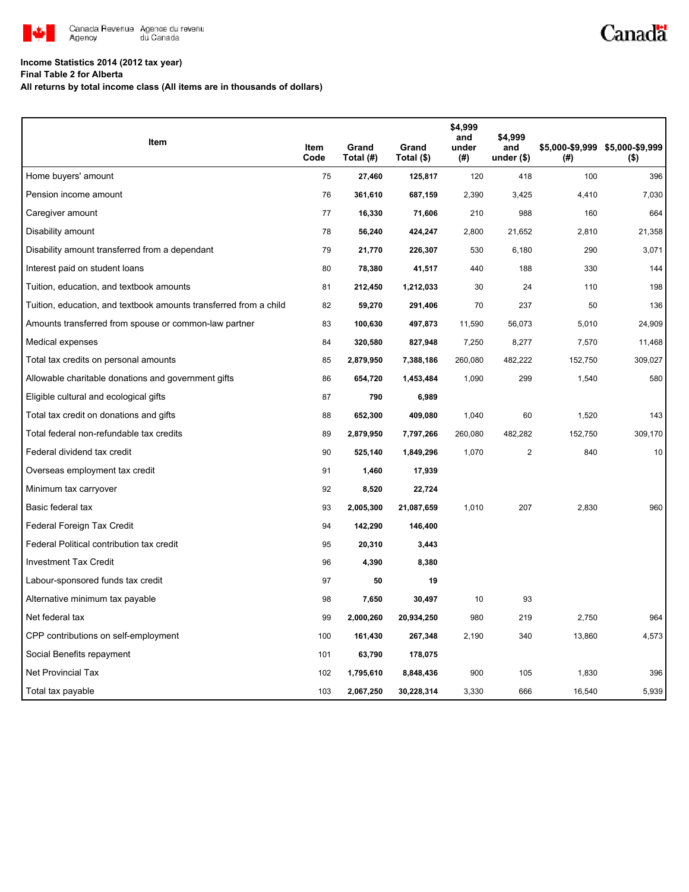

## Canadä

## **Income Statistics 2014 (2012 tax year)**

**Final Table 2 for Alberta**

**All returns by total income class (All items are in thousands of dollars)**

| Item                                                              |              |                    |                     | \$4,999<br>and | \$4,999            |         |                                            |
|-------------------------------------------------------------------|--------------|--------------------|---------------------|----------------|--------------------|---------|--------------------------------------------|
|                                                                   | Item<br>Code | Grand<br>Total (#) | Grand<br>Total (\$) | under<br>(#)   | and<br>under $(*)$ | (#)     | \$5,000-\$9,999 \$5,000-\$9,999<br>$($ \$) |
| Home buyers' amount                                               | 75           | 27,460             | 125,817             | 120            | 418                | 100     | 396                                        |
| Pension income amount                                             | 76           | 361,610            | 687,159             | 2,390          | 3,425              | 4,410   | 7,030                                      |
| Caregiver amount                                                  | 77           | 16,330             | 71,606              | 210            | 988                | 160     | 664                                        |
| Disability amount                                                 | 78           | 56,240             | 424,247             | 2,800          | 21,652             | 2,810   | 21,358                                     |
| Disability amount transferred from a dependant                    | 79           | 21,770             | 226,307             | 530            | 6,180              | 290     | 3,071                                      |
| Interest paid on student loans                                    | 80           | 78,380             | 41,517              | 440            | 188                | 330     | 144                                        |
| Tuition, education, and textbook amounts                          | 81           | 212,450            | 1,212,033           | 30             | 24                 | 110     | 198                                        |
| Tuition, education, and textbook amounts transferred from a child | 82           | 59,270             | 291,406             | 70             | 237                | 50      | 136                                        |
| Amounts transferred from spouse or common-law partner             | 83           | 100,630            | 497,873             | 11,590         | 56,073             | 5,010   | 24,909                                     |
| Medical expenses                                                  | 84           | 320,580            | 827,948             | 7,250          | 8,277              | 7,570   | 11,468                                     |
| Total tax credits on personal amounts                             | 85           | 2,879,950          | 7,388,186           | 260,080        | 482,222            | 152,750 | 309,027                                    |
| Allowable charitable donations and government gifts               | 86           | 654,720            | 1,453,484           | 1,090          | 299                | 1,540   | 580                                        |
| Eligible cultural and ecological gifts                            | 87           | 790                | 6,989               |                |                    |         |                                            |
| Total tax credit on donations and gifts                           | 88           | 652,300            | 409,080             | 1,040          | 60                 | 1,520   | 143                                        |
| Total federal non-refundable tax credits                          | 89           | 2,879,950          | 7,797,266           | 260,080        | 482,282            | 152,750 | 309,170                                    |
| Federal dividend tax credit                                       | 90           | 525,140            | 1,849,296           | 1,070          | 2                  | 840     | 10                                         |
| Overseas employment tax credit                                    | 91           | 1,460              | 17,939              |                |                    |         |                                            |
| Minimum tax carryover                                             | 92           | 8,520              | 22,724              |                |                    |         |                                            |
| Basic federal tax                                                 | 93           | 2,005,300          | 21,087,659          | 1,010          | 207                | 2,830   | 960                                        |
| Federal Foreign Tax Credit                                        | 94           | 142,290            | 146,400             |                |                    |         |                                            |
| Federal Political contribution tax credit                         | 95           | 20,310             | 3,443               |                |                    |         |                                            |
| <b>Investment Tax Credit</b>                                      | 96           | 4,390              | 8,380               |                |                    |         |                                            |
| Labour-sponsored funds tax credit                                 | 97           | 50                 | 19                  |                |                    |         |                                            |
| Alternative minimum tax payable                                   | 98           | 7,650              | 30,497              | 10             | 93                 |         |                                            |
| Net federal tax                                                   | 99           | 2,000,260          | 20,934,250          | 980            | 219                | 2,750   | 964                                        |
| CPP contributions on self-employment                              | 100          | 161,430            | 267,348             | 2,190          | 340                | 13,860  | 4,573                                      |
| Social Benefits repayment                                         | 101          | 63,790             | 178,075             |                |                    |         |                                            |
| Net Provincial Tax                                                | 102          | 1,795,610          | 8,848,436           | 900            | 105                | 1,830   | 396                                        |
| Total tax payable                                                 | 103          | 2,067,250          | 30,228,314          | 3,330          | 666                | 16,540  | 5,939                                      |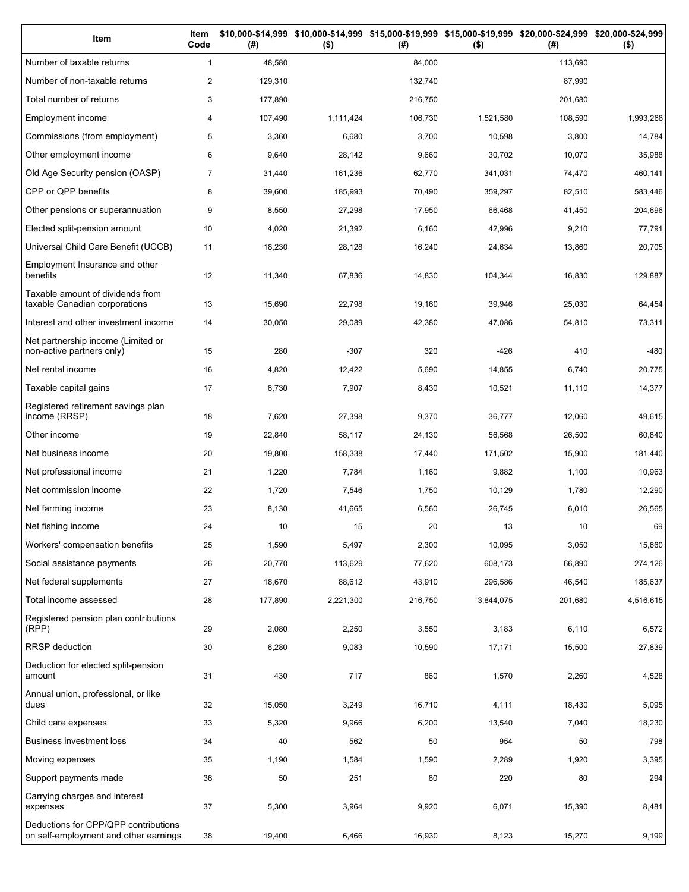| Item                                                                          | Item<br>Code   | (# )    | \$10,000-\$14,999 \$10,000-\$14,999 \$15,000-\$19,999 \$15,000-\$19,999 \$20,000-\$24,999 \$20,000-\$24,999<br>$($ \$) | (# )    | $($ \$)   | (# )    | $($ \$)   |
|-------------------------------------------------------------------------------|----------------|---------|------------------------------------------------------------------------------------------------------------------------|---------|-----------|---------|-----------|
| Number of taxable returns                                                     | $\mathbf{1}$   | 48,580  |                                                                                                                        | 84,000  |           | 113,690 |           |
| Number of non-taxable returns                                                 | $\overline{c}$ | 129,310 |                                                                                                                        | 132,740 |           | 87,990  |           |
| Total number of returns                                                       | 3              | 177,890 |                                                                                                                        | 216,750 |           | 201,680 |           |
| Employment income                                                             | 4              | 107,490 | 1,111,424                                                                                                              | 106,730 | 1,521,580 | 108,590 | 1,993,268 |
| Commissions (from employment)                                                 | 5              | 3,360   | 6,680                                                                                                                  | 3,700   | 10,598    | 3,800   | 14,784    |
| Other employment income                                                       | 6              | 9,640   | 28,142                                                                                                                 | 9,660   | 30,702    | 10,070  | 35,988    |
| Old Age Security pension (OASP)                                               | $\overline{7}$ | 31,440  | 161,236                                                                                                                | 62,770  | 341,031   | 74,470  | 460,141   |
| CPP or QPP benefits                                                           | 8              | 39,600  | 185,993                                                                                                                | 70,490  | 359,297   | 82,510  | 583,446   |
| Other pensions or superannuation                                              | 9              | 8,550   | 27,298                                                                                                                 | 17,950  | 66,468    | 41,450  | 204,696   |
| Elected split-pension amount                                                  | 10             | 4,020   | 21,392                                                                                                                 | 6,160   | 42,996    | 9,210   | 77,791    |
| Universal Child Care Benefit (UCCB)                                           | 11             | 18,230  | 28,128                                                                                                                 | 16,240  | 24,634    | 13,860  | 20,705    |
| Employment Insurance and other<br>benefits                                    | 12             | 11,340  | 67,836                                                                                                                 | 14,830  | 104,344   | 16,830  | 129,887   |
| Taxable amount of dividends from<br>taxable Canadian corporations             | 13             | 15,690  | 22,798                                                                                                                 | 19,160  | 39,946    | 25,030  | 64,454    |
| Interest and other investment income                                          | 14             | 30,050  | 29,089                                                                                                                 | 42,380  | 47,086    | 54,810  | 73,311    |
| Net partnership income (Limited or<br>non-active partners only)               | 15             | 280     | $-307$                                                                                                                 | 320     | $-426$    | 410     | $-480$    |
| Net rental income                                                             | 16             | 4,820   | 12,422                                                                                                                 | 5,690   | 14,855    | 6,740   | 20,775    |
| Taxable capital gains                                                         | 17             | 6,730   | 7,907                                                                                                                  | 8,430   | 10,521    | 11,110  | 14,377    |
| Registered retirement savings plan<br>income (RRSP)                           | 18             | 7,620   | 27,398                                                                                                                 | 9,370   | 36,777    | 12,060  | 49,615    |
| Other income                                                                  | 19             | 22,840  | 58,117                                                                                                                 | 24,130  | 56,568    | 26,500  | 60,840    |
| Net business income                                                           | 20             | 19,800  | 158,338                                                                                                                | 17,440  | 171,502   | 15,900  | 181,440   |
| Net professional income                                                       | 21             | 1,220   | 7,784                                                                                                                  | 1,160   | 9,882     | 1,100   | 10,963    |
| Net commission income                                                         | 22             | 1,720   | 7,546                                                                                                                  | 1,750   | 10,129    | 1,780   | 12,290    |
| Net farming income                                                            | 23             | 8,130   | 41,665                                                                                                                 | 6,560   | 26,745    | 6,010   | 26,565    |
| Net fishing income                                                            | 24             | 10      | 15                                                                                                                     | 20      | 13        | 10      | 69        |
| Workers' compensation benefits                                                | 25             | 1,590   | 5,497                                                                                                                  | 2,300   | 10,095    | 3,050   | 15,660    |
| Social assistance payments                                                    | 26             | 20,770  | 113,629                                                                                                                | 77,620  | 608,173   | 66,890  | 274,126   |
| Net federal supplements                                                       | 27             | 18,670  | 88,612                                                                                                                 | 43,910  | 296,586   | 46,540  | 185,637   |
| Total income assessed                                                         | 28             | 177,890 | 2,221,300                                                                                                              | 216,750 | 3,844,075 | 201,680 | 4,516,615 |
| Registered pension plan contributions<br>(RPP)                                | 29             | 2,080   | 2,250                                                                                                                  | 3,550   | 3,183     | 6,110   | 6,572     |
| <b>RRSP</b> deduction                                                         | 30             | 6,280   | 9,083                                                                                                                  | 10,590  | 17,171    | 15,500  | 27,839    |
| Deduction for elected split-pension<br>amount                                 | 31             | 430     | 717                                                                                                                    | 860     | 1,570     | 2,260   | 4,528     |
| Annual union, professional, or like<br>dues                                   | 32             | 15,050  | 3,249                                                                                                                  | 16,710  | 4,111     | 18,430  | 5,095     |
| Child care expenses                                                           | 33             | 5,320   | 9,966                                                                                                                  | 6,200   | 13,540    | 7,040   | 18,230    |
| Business investment loss                                                      | 34             | 40      | 562                                                                                                                    | 50      | 954       | 50      | 798       |
| Moving expenses                                                               | 35             | 1,190   | 1,584                                                                                                                  | 1,590   | 2,289     | 1,920   | 3,395     |
| Support payments made                                                         | 36             | 50      | 251                                                                                                                    | 80      | 220       | 80      | 294       |
| Carrying charges and interest<br>expenses                                     | 37             | 5,300   | 3,964                                                                                                                  | 9,920   | 6,071     | 15,390  | 8,481     |
| Deductions for CPP/QPP contributions<br>on self-employment and other earnings | 38             | 19,400  | 6,466                                                                                                                  | 16,930  | 8,123     | 15,270  | 9,199     |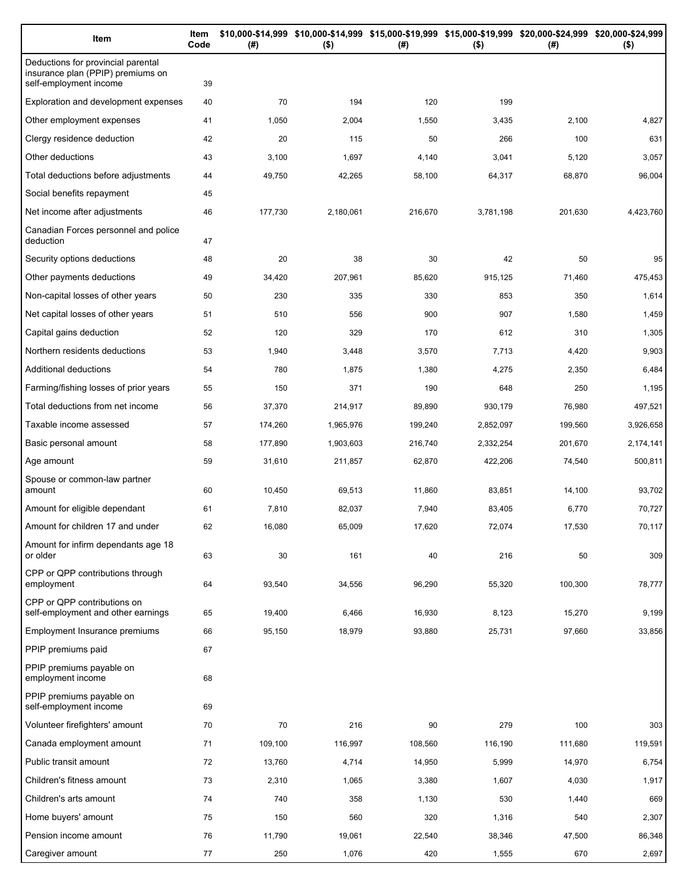| Item                                                                                              | Item<br>Code | (#)     | $($ \$)   | (#)     | $($ \$)   | \$10,000-\$14,999 \$10,000-\$14,999 \$15,000-\$19,999 \$15,000-\$19,999 \$20,000-\$24,999 \$20,000-\$24,999<br>(#) | \$)       |
|---------------------------------------------------------------------------------------------------|--------------|---------|-----------|---------|-----------|--------------------------------------------------------------------------------------------------------------------|-----------|
| Deductions for provincial parental<br>insurance plan (PPIP) premiums on<br>self-employment income | 39           |         |           |         |           |                                                                                                                    |           |
| Exploration and development expenses                                                              | 40           | 70      | 194       | 120     | 199       |                                                                                                                    |           |
| Other employment expenses                                                                         | 41           | 1,050   | 2,004     | 1,550   | 3,435     | 2,100                                                                                                              | 4,827     |
| Clergy residence deduction                                                                        | 42           | 20      | 115       | 50      | 266       | 100                                                                                                                | 631       |
| Other deductions                                                                                  | 43           | 3,100   | 1,697     | 4,140   | 3,041     | 5,120                                                                                                              | 3,057     |
| Total deductions before adjustments                                                               | 44           | 49,750  | 42,265    | 58,100  | 64,317    | 68,870                                                                                                             | 96,004    |
| Social benefits repayment                                                                         | 45           |         |           |         |           |                                                                                                                    |           |
| Net income after adjustments                                                                      | 46           | 177,730 | 2,180,061 | 216,670 | 3,781,198 | 201,630                                                                                                            | 4,423,760 |
| Canadian Forces personnel and police<br>deduction                                                 | 47           |         |           |         |           |                                                                                                                    |           |
| Security options deductions                                                                       | 48           | 20      | 38        | 30      | 42        | 50                                                                                                                 | 95        |
| Other payments deductions                                                                         | 49           | 34,420  | 207,961   | 85,620  | 915,125   | 71,460                                                                                                             | 475,453   |
| Non-capital losses of other years                                                                 | 50           | 230     | 335       | 330     | 853       | 350                                                                                                                | 1,614     |
| Net capital losses of other years                                                                 | 51           | 510     | 556       | 900     | 907       | 1,580                                                                                                              | 1,459     |
| Capital gains deduction                                                                           | 52           | 120     | 329       | 170     | 612       | 310                                                                                                                | 1,305     |
| Northern residents deductions                                                                     | 53           | 1,940   | 3,448     | 3,570   | 7,713     | 4,420                                                                                                              | 9,903     |
| Additional deductions                                                                             | 54           | 780     | 1,875     | 1,380   | 4,275     | 2,350                                                                                                              | 6,484     |
| Farming/fishing losses of prior years                                                             | 55           | 150     | 371       | 190     | 648       | 250                                                                                                                | 1,195     |
| Total deductions from net income                                                                  | 56           | 37,370  | 214,917   | 89,890  | 930,179   | 76,980                                                                                                             | 497,521   |
| Taxable income assessed                                                                           | 57           | 174,260 | 1,965,976 | 199,240 | 2,852,097 | 199,560                                                                                                            | 3,926,658 |
| Basic personal amount                                                                             | 58           | 177,890 | 1,903,603 | 216,740 | 2,332,254 | 201,670                                                                                                            | 2,174,141 |
| Age amount                                                                                        | 59           | 31,610  | 211,857   | 62,870  | 422,206   | 74,540                                                                                                             | 500,811   |
| Spouse or common-law partner<br>amount                                                            | 60           | 10,450  | 69,513    | 11,860  | 83,851    | 14,100                                                                                                             | 93,702    |
| Amount for eligible dependant                                                                     | 61           | 7,810   | 82,037    | 7,940   | 83,405    | 6,770                                                                                                              | 70,727    |
| Amount for children 17 and under                                                                  | 62           | 16,080  | 65,009    | 17,620  | 72,074    | 17,530                                                                                                             | 70,117    |
| Amount for infirm dependants age 18<br>or older                                                   | 63           | 30      | 161       | 40      | 216       | 50                                                                                                                 | 309       |
| CPP or QPP contributions through<br>employment                                                    | 64           | 93,540  | 34,556    | 96,290  | 55,320    | 100,300                                                                                                            | 78,777    |
| CPP or QPP contributions on<br>self-employment and other earnings                                 | 65           | 19,400  | 6,466     | 16,930  | 8,123     | 15,270                                                                                                             | 9,199     |
| Employment Insurance premiums                                                                     | 66           | 95,150  | 18,979    | 93,880  | 25,731    | 97,660                                                                                                             | 33,856    |
| PPIP premiums paid                                                                                | 67           |         |           |         |           |                                                                                                                    |           |
| PPIP premiums payable on<br>employment income                                                     | 68           |         |           |         |           |                                                                                                                    |           |
| PPIP premiums payable on<br>self-employment income                                                | 69           |         |           |         |           |                                                                                                                    |           |
| Volunteer firefighters' amount                                                                    | 70           | 70      | 216       | 90      | 279       | 100                                                                                                                | 303       |
| Canada employment amount                                                                          | 71           | 109,100 | 116,997   | 108,560 | 116,190   | 111,680                                                                                                            | 119,591   |
| Public transit amount                                                                             | 72           | 13,760  | 4,714     | 14,950  | 5,999     | 14,970                                                                                                             | 6,754     |
| Children's fitness amount                                                                         | 73           | 2,310   | 1,065     | 3,380   | 1,607     | 4,030                                                                                                              | 1,917     |
| Children's arts amount                                                                            | 74           | 740     | 358       | 1,130   | 530       | 1,440                                                                                                              | 669       |
| Home buyers' amount                                                                               | 75           | 150     | 560       | 320     | 1,316     | 540                                                                                                                | 2,307     |
| Pension income amount                                                                             | 76           | 11,790  | 19,061    | 22,540  | 38,346    | 47,500                                                                                                             | 86,348    |
| Caregiver amount                                                                                  | 77           | 250     | 1,076     | 420     | 1,555     | 670                                                                                                                | 2,697     |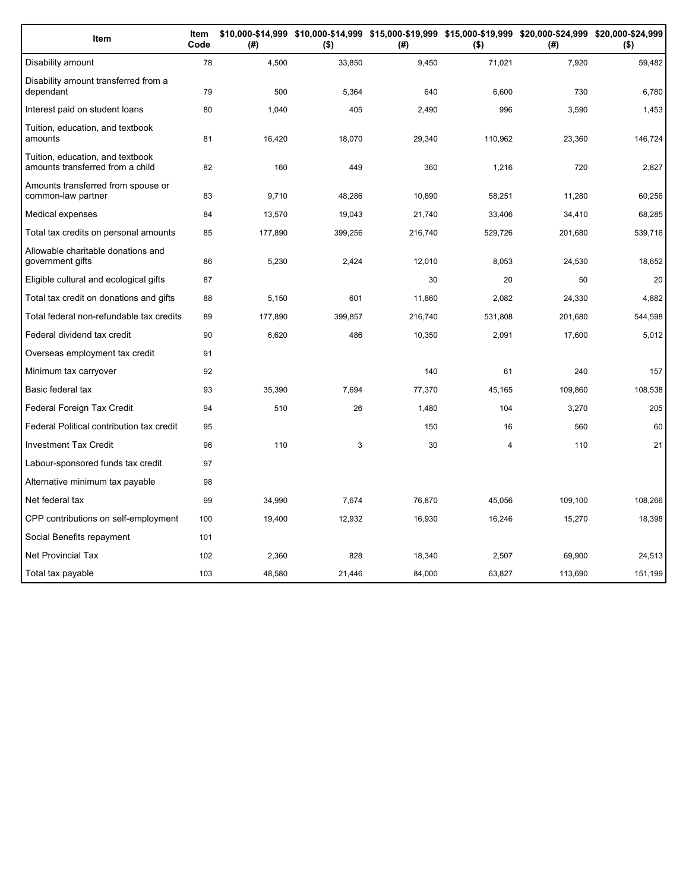| Item                                                                 | Item<br>Code | (#)     | $($ \$) | \$10,000-\$14,999 \$10,000-\$14,999 \$15,000-\$19,999 \$15,000-\$19,999 \$20,000-\$24,999 \$20,000-\$24,999<br>(#) | $($ \$) | (# )    | $($ \$) |
|----------------------------------------------------------------------|--------------|---------|---------|--------------------------------------------------------------------------------------------------------------------|---------|---------|---------|
| Disability amount                                                    | 78           | 4,500   | 33,850  | 9,450                                                                                                              | 71,021  | 7,920   | 59,482  |
| Disability amount transferred from a<br>dependant                    | 79           | 500     | 5,364   | 640                                                                                                                | 6.600   | 730     | 6,780   |
| Interest paid on student loans                                       | 80           | 1,040   | 405     | 2,490                                                                                                              | 996     | 3,590   | 1,453   |
| Tuition, education, and textbook<br>amounts                          | 81           | 16,420  | 18,070  | 29,340                                                                                                             | 110,962 | 23,360  | 146,724 |
| Tuition, education, and textbook<br>amounts transferred from a child | 82           | 160     | 449     | 360                                                                                                                | 1,216   | 720     | 2,827   |
| Amounts transferred from spouse or<br>common-law partner             | 83           | 9,710   | 48,286  | 10,890                                                                                                             | 58,251  | 11,280  | 60,256  |
| Medical expenses                                                     | 84           | 13,570  | 19,043  | 21,740                                                                                                             | 33,406  | 34,410  | 68,285  |
| Total tax credits on personal amounts                                | 85           | 177,890 | 399,256 | 216,740                                                                                                            | 529,726 | 201,680 | 539,716 |
| Allowable charitable donations and<br>government gifts               | 86           | 5,230   | 2,424   | 12,010                                                                                                             | 8,053   | 24,530  | 18,652  |
| Eligible cultural and ecological gifts                               | 87           |         |         | 30                                                                                                                 | 20      | 50      | 20      |
| Total tax credit on donations and gifts                              | 88           | 5,150   | 601     | 11,860                                                                                                             | 2,082   | 24,330  | 4,882   |
| Total federal non-refundable tax credits                             | 89           | 177,890 | 399,857 | 216,740                                                                                                            | 531,808 | 201,680 | 544,598 |
| Federal dividend tax credit                                          | 90           | 6,620   | 486     | 10,350                                                                                                             | 2,091   | 17,600  | 5,012   |
| Overseas employment tax credit                                       | 91           |         |         |                                                                                                                    |         |         |         |
| Minimum tax carryover                                                | 92           |         |         | 140                                                                                                                | 61      | 240     | 157     |
| Basic federal tax                                                    | 93           | 35,390  | 7,694   | 77,370                                                                                                             | 45,165  | 109,860 | 108,538 |
| Federal Foreign Tax Credit                                           | 94           | 510     | 26      | 1,480                                                                                                              | 104     | 3,270   | 205     |
| Federal Political contribution tax credit                            | 95           |         |         | 150                                                                                                                | 16      | 560     | 60      |
| <b>Investment Tax Credit</b>                                         | 96           | 110     | 3       | 30                                                                                                                 | 4       | 110     | 21      |
| Labour-sponsored funds tax credit                                    | 97           |         |         |                                                                                                                    |         |         |         |
| Alternative minimum tax payable                                      | 98           |         |         |                                                                                                                    |         |         |         |
| Net federal tax                                                      | 99           | 34,990  | 7.674   | 76,870                                                                                                             | 45.056  | 109.100 | 108,266 |
| CPP contributions on self-employment                                 | 100          | 19,400  | 12,932  | 16,930                                                                                                             | 16,246  | 15,270  | 18,398  |
| Social Benefits repayment                                            | 101          |         |         |                                                                                                                    |         |         |         |
| <b>Net Provincial Tax</b>                                            | 102          | 2,360   | 828     | 18,340                                                                                                             | 2,507   | 69,900  | 24,513  |
| Total tax payable                                                    | 103          | 48,580  | 21,446  | 84,000                                                                                                             | 63,827  | 113,690 | 151,199 |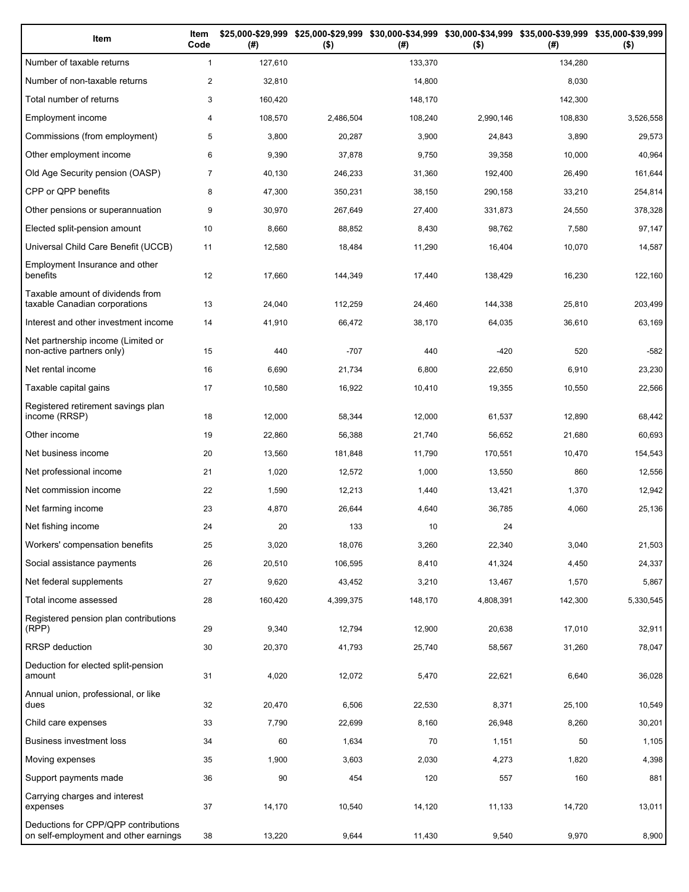| Item                                                                          | Item<br>Code   | (# )    | \$25,000-\$29,999 \$25,000-\$29,999<br>$($ \$) | (# )    | \$30,000-\$34,999 \$30,000-\$34,999 \$35,000-\$39,999 \$35,000-\$39,999<br>$($ \$) | (# )    | $($ \$)   |
|-------------------------------------------------------------------------------|----------------|---------|------------------------------------------------|---------|------------------------------------------------------------------------------------|---------|-----------|
| Number of taxable returns                                                     | $\mathbf{1}$   | 127,610 |                                                | 133,370 |                                                                                    | 134,280 |           |
| Number of non-taxable returns                                                 | $\overline{c}$ | 32,810  |                                                | 14,800  |                                                                                    | 8,030   |           |
| Total number of returns                                                       | 3              | 160,420 |                                                | 148,170 |                                                                                    | 142,300 |           |
| Employment income                                                             | 4              | 108,570 | 2,486,504                                      | 108,240 | 2,990,146                                                                          | 108,830 | 3,526,558 |
| Commissions (from employment)                                                 | 5              | 3,800   | 20,287                                         | 3,900   | 24,843                                                                             | 3,890   | 29,573    |
| Other employment income                                                       | 6              | 9,390   | 37,878                                         | 9,750   | 39,358                                                                             | 10,000  | 40,964    |
| Old Age Security pension (OASP)                                               | $\overline{7}$ | 40,130  | 246,233                                        | 31,360  | 192,400                                                                            | 26,490  | 161,644   |
| CPP or QPP benefits                                                           | 8              | 47,300  | 350,231                                        | 38,150  | 290,158                                                                            | 33,210  | 254,814   |
| Other pensions or superannuation                                              | 9              | 30,970  | 267,649                                        | 27,400  | 331,873                                                                            | 24,550  | 378,328   |
| Elected split-pension amount                                                  | 10             | 8,660   | 88,852                                         | 8,430   | 98,762                                                                             | 7,580   | 97,147    |
| Universal Child Care Benefit (UCCB)                                           | 11             | 12,580  | 18,484                                         | 11,290  | 16,404                                                                             | 10,070  | 14,587    |
| Employment Insurance and other<br>benefits                                    | 12             | 17,660  | 144,349                                        | 17,440  | 138,429                                                                            | 16,230  | 122,160   |
| Taxable amount of dividends from<br>taxable Canadian corporations             | 13             | 24,040  | 112,259                                        | 24,460  | 144,338                                                                            | 25,810  | 203,499   |
| Interest and other investment income                                          | 14             | 41,910  | 66,472                                         | 38,170  | 64,035                                                                             | 36,610  | 63,169    |
| Net partnership income (Limited or<br>non-active partners only)               | 15             | 440     | $-707$                                         | 440     | $-420$                                                                             | 520     | $-582$    |
| Net rental income                                                             | 16             | 6,690   | 21,734                                         | 6,800   | 22,650                                                                             | 6,910   | 23,230    |
| Taxable capital gains                                                         | 17             | 10,580  | 16,922                                         | 10,410  | 19,355                                                                             | 10,550  | 22,566    |
| Registered retirement savings plan<br>income (RRSP)                           | 18             | 12,000  | 58,344                                         | 12,000  | 61,537                                                                             | 12,890  | 68,442    |
| Other income                                                                  | 19             | 22,860  | 56,388                                         | 21,740  | 56,652                                                                             | 21,680  | 60,693    |
| Net business income                                                           | 20             | 13,560  | 181,848                                        | 11,790  | 170,551                                                                            | 10,470  | 154,543   |
| Net professional income                                                       | 21             | 1,020   | 12,572                                         | 1,000   | 13,550                                                                             | 860     | 12,556    |
| Net commission income                                                         | 22             | 1,590   | 12,213                                         | 1,440   | 13,421                                                                             | 1,370   | 12,942    |
| Net farming income                                                            | 23             | 4,870   | 26,644                                         | 4,640   | 36,785                                                                             | 4,060   | 25,136    |
| Net fishing income                                                            | 24             | 20      | 133                                            | 10      | 24                                                                                 |         |           |
| Workers' compensation benefits                                                | 25             | 3,020   | 18,076                                         | 3,260   | 22,340                                                                             | 3,040   | 21,503    |
| Social assistance payments                                                    | 26             | 20,510  | 106,595                                        | 8,410   | 41,324                                                                             | 4,450   | 24,337    |
| Net federal supplements                                                       | 27             | 9,620   | 43,452                                         | 3,210   | 13,467                                                                             | 1,570   | 5,867     |
| Total income assessed                                                         | 28             | 160,420 | 4,399,375                                      | 148,170 | 4,808,391                                                                          | 142,300 | 5,330,545 |
| Registered pension plan contributions<br>(RPP)                                | 29             | 9,340   | 12,794                                         | 12,900  | 20,638                                                                             | 17,010  | 32,911    |
| <b>RRSP</b> deduction                                                         | 30             | 20,370  | 41,793                                         | 25,740  | 58,567                                                                             | 31,260  | 78,047    |
| Deduction for elected split-pension<br>amount                                 | 31             | 4,020   | 12,072                                         | 5,470   | 22,621                                                                             | 6,640   | 36,028    |
| Annual union, professional, or like<br>dues                                   | 32             | 20,470  | 6,506                                          | 22,530  | 8,371                                                                              | 25,100  | 10,549    |
| Child care expenses                                                           | 33             | 7,790   | 22,699                                         | 8,160   | 26,948                                                                             | 8,260   | 30,201    |
| Business investment loss                                                      | 34             | 60      | 1,634                                          | 70      | 1,151                                                                              | 50      | 1,105     |
| Moving expenses                                                               | 35             | 1,900   | 3,603                                          | 2,030   | 4,273                                                                              | 1,820   | 4,398     |
| Support payments made                                                         | 36             | 90      | 454                                            | 120     | 557                                                                                | 160     | 881       |
| Carrying charges and interest<br>expenses                                     | 37             | 14,170  | 10,540                                         | 14,120  | 11,133                                                                             | 14,720  | 13,011    |
| Deductions for CPP/QPP contributions<br>on self-employment and other earnings | 38             | 13,220  | 9,644                                          | 11,430  | 9,540                                                                              | 9,970   | 8,900     |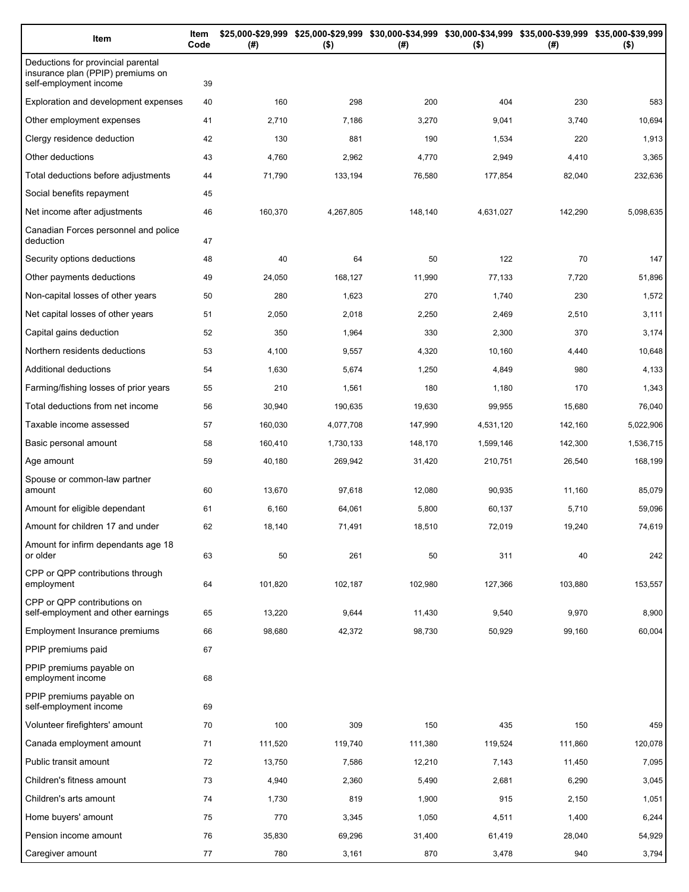| Item                                                                                              | Item<br>Code | (#)     | $($ \$)   | \$25,000-\$29,999 \$25,000-\$29,999 \$30,000-\$34,999 \$30,000-\$34,999 \$35,000-\$39,999 \$35,000-\$39,999<br>(#) | $($ \$)   | (#)     | $($ \$)   |
|---------------------------------------------------------------------------------------------------|--------------|---------|-----------|--------------------------------------------------------------------------------------------------------------------|-----------|---------|-----------|
| Deductions for provincial parental<br>insurance plan (PPIP) premiums on<br>self-employment income | 39           |         |           |                                                                                                                    |           |         |           |
| Exploration and development expenses                                                              | 40           | 160     | 298       | 200                                                                                                                | 404       | 230     | 583       |
| Other employment expenses                                                                         | 41           | 2,710   | 7,186     | 3,270                                                                                                              | 9,041     | 3,740   | 10,694    |
| Clergy residence deduction                                                                        | 42           | 130     | 881       | 190                                                                                                                | 1,534     | 220     | 1,913     |
| Other deductions                                                                                  | 43           | 4,760   | 2,962     | 4,770                                                                                                              | 2,949     | 4,410   | 3,365     |
| Total deductions before adjustments                                                               | 44           | 71,790  | 133,194   | 76,580                                                                                                             | 177,854   | 82,040  | 232,636   |
| Social benefits repayment                                                                         | 45           |         |           |                                                                                                                    |           |         |           |
| Net income after adjustments                                                                      | 46           | 160,370 | 4,267,805 | 148,140                                                                                                            | 4,631,027 | 142,290 | 5,098,635 |
| Canadian Forces personnel and police<br>deduction                                                 | 47           |         |           |                                                                                                                    |           |         |           |
| Security options deductions                                                                       | 48           | 40      | 64        | 50                                                                                                                 | 122       | 70      | 147       |
| Other payments deductions                                                                         | 49           | 24,050  | 168,127   | 11,990                                                                                                             | 77,133    | 7,720   | 51,896    |
| Non-capital losses of other years                                                                 | 50           | 280     | 1,623     | 270                                                                                                                | 1,740     | 230     | 1,572     |
| Net capital losses of other years                                                                 | 51           | 2,050   | 2,018     | 2,250                                                                                                              | 2,469     | 2,510   | 3,111     |
| Capital gains deduction                                                                           | 52           | 350     | 1,964     | 330                                                                                                                | 2,300     | 370     | 3,174     |
| Northern residents deductions                                                                     | 53           | 4,100   | 9,557     | 4,320                                                                                                              | 10,160    | 4,440   | 10,648    |
| Additional deductions                                                                             | 54           | 1,630   | 5,674     | 1,250                                                                                                              | 4,849     | 980     | 4,133     |
| Farming/fishing losses of prior years                                                             | 55           | 210     | 1,561     | 180                                                                                                                | 1,180     | 170     | 1,343     |
| Total deductions from net income                                                                  | 56           | 30,940  | 190,635   | 19,630                                                                                                             | 99,955    | 15,680  | 76,040    |
| Taxable income assessed                                                                           | 57           | 160,030 | 4,077,708 | 147,990                                                                                                            | 4,531,120 | 142,160 | 5,022,906 |
| Basic personal amount                                                                             | 58           | 160,410 | 1,730,133 | 148,170                                                                                                            | 1,599,146 | 142,300 | 1,536,715 |
| Age amount                                                                                        | 59           | 40,180  | 269,942   | 31,420                                                                                                             | 210,751   | 26,540  | 168,199   |
| Spouse or common-law partner<br>amount                                                            | 60           | 13,670  | 97,618    | 12,080                                                                                                             | 90,935    | 11,160  | 85,079    |
| Amount for eligible dependant                                                                     | 61           | 6,160   | 64,061    | 5,800                                                                                                              | 60,137    | 5,710   | 59,096    |
| Amount for children 17 and under                                                                  | 62           | 18,140  | 71,491    | 18,510                                                                                                             | 72,019    | 19,240  | 74,619    |
| Amount for infirm dependants age 18<br>or older                                                   | 63           | 50      | 261       | 50                                                                                                                 | 311       | 40      | 242       |
| CPP or QPP contributions through<br>employment                                                    | 64           | 101,820 | 102,187   | 102,980                                                                                                            | 127,366   | 103,880 | 153,557   |
| CPP or QPP contributions on<br>self-employment and other earnings                                 | 65           | 13,220  | 9,644     | 11,430                                                                                                             | 9,540     | 9,970   | 8,900     |
| Employment Insurance premiums                                                                     | 66           | 98,680  | 42,372    | 98,730                                                                                                             | 50,929    | 99,160  | 60,004    |
| PPIP premiums paid                                                                                | 67           |         |           |                                                                                                                    |           |         |           |
| PPIP premiums payable on<br>employment income                                                     | 68           |         |           |                                                                                                                    |           |         |           |
| PPIP premiums payable on<br>self-employment income                                                | 69           |         |           |                                                                                                                    |           |         |           |
| Volunteer firefighters' amount                                                                    | 70           | 100     | 309       | 150                                                                                                                | 435       | 150     | 459       |
| Canada employment amount                                                                          | 71           | 111,520 | 119,740   | 111,380                                                                                                            | 119,524   | 111,860 | 120,078   |
| Public transit amount                                                                             | 72           | 13,750  | 7,586     | 12,210                                                                                                             | 7,143     | 11,450  | 7,095     |
| Children's fitness amount                                                                         | 73           | 4,940   | 2,360     | 5,490                                                                                                              | 2,681     | 6,290   | 3,045     |
| Children's arts amount                                                                            | 74           | 1,730   | 819       | 1,900                                                                                                              | 915       | 2,150   | 1,051     |
| Home buyers' amount                                                                               | 75           | 770     | 3,345     | 1,050                                                                                                              | 4,511     | 1,400   | 6,244     |
| Pension income amount                                                                             | 76           | 35,830  | 69,296    | 31,400                                                                                                             | 61,419    | 28,040  | 54,929    |
| Caregiver amount                                                                                  | 77           | 780     | 3,161     | 870                                                                                                                | 3,478     | 940     | 3,794     |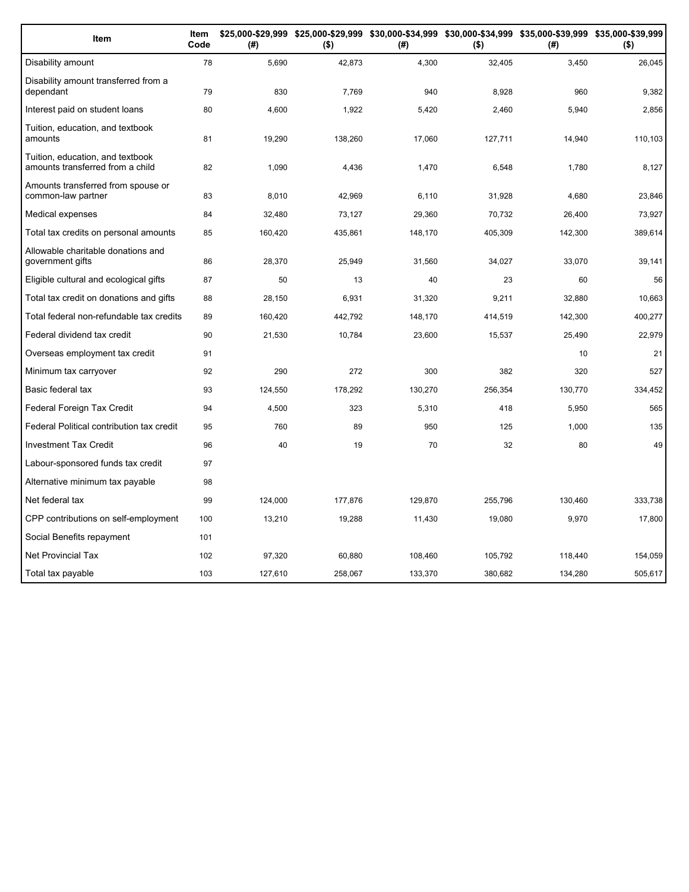| Item                                                                 | Item<br>Code | (#)     | \$25,000-\$29,999 \$25,000-\$29,999 \$30,000-\$34,999 \$30,000-\$34,999 \$35,000-\$39,999 \$35,000-\$39,999<br>$($ \$) | (#)     | $($ \$) | (#)     | $($ \$) |
|----------------------------------------------------------------------|--------------|---------|------------------------------------------------------------------------------------------------------------------------|---------|---------|---------|---------|
| Disability amount                                                    | 78           | 5,690   | 42,873                                                                                                                 | 4,300   | 32,405  | 3,450   | 26,045  |
| Disability amount transferred from a<br>dependant                    | 79           | 830     | 7,769                                                                                                                  | 940     | 8.928   | 960     | 9,382   |
| Interest paid on student loans                                       | 80           | 4,600   | 1,922                                                                                                                  | 5,420   | 2,460   | 5,940   | 2,856   |
| Tuition, education, and textbook<br>amounts                          | 81           | 19,290  | 138,260                                                                                                                | 17,060  | 127,711 | 14,940  | 110,103 |
| Tuition, education, and textbook<br>amounts transferred from a child | 82           | 1,090   | 4,436                                                                                                                  | 1,470   | 6,548   | 1,780   | 8,127   |
| Amounts transferred from spouse or<br>common-law partner             | 83           | 8,010   | 42,969                                                                                                                 | 6,110   | 31,928  | 4,680   | 23,846  |
| Medical expenses                                                     | 84           | 32,480  | 73,127                                                                                                                 | 29,360  | 70,732  | 26,400  | 73,927  |
| Total tax credits on personal amounts                                | 85           | 160,420 | 435,861                                                                                                                | 148,170 | 405,309 | 142,300 | 389,614 |
| Allowable charitable donations and<br>government gifts               | 86           | 28,370  | 25,949                                                                                                                 | 31,560  | 34,027  | 33,070  | 39,141  |
| Eligible cultural and ecological gifts                               | 87           | 50      | 13                                                                                                                     | 40      | 23      | 60      | 56      |
| Total tax credit on donations and gifts                              | 88           | 28.150  | 6,931                                                                                                                  | 31,320  | 9,211   | 32.880  | 10,663  |
| Total federal non-refundable tax credits                             | 89           | 160,420 | 442,792                                                                                                                | 148,170 | 414,519 | 142,300 | 400,277 |
| Federal dividend tax credit                                          | 90           | 21,530  | 10,784                                                                                                                 | 23,600  | 15,537  | 25,490  | 22,979  |
| Overseas employment tax credit                                       | 91           |         |                                                                                                                        |         |         | 10      | 21      |
| Minimum tax carryover                                                | 92           | 290     | 272                                                                                                                    | 300     | 382     | 320     | 527     |
| Basic federal tax                                                    | 93           | 124,550 | 178,292                                                                                                                | 130,270 | 256,354 | 130,770 | 334,452 |
| Federal Foreign Tax Credit                                           | 94           | 4,500   | 323                                                                                                                    | 5,310   | 418     | 5,950   | 565     |
| Federal Political contribution tax credit                            | 95           | 760     | 89                                                                                                                     | 950     | 125     | 1,000   | 135     |
| <b>Investment Tax Credit</b>                                         | 96           | 40      | 19                                                                                                                     | 70      | 32      | 80      | 49      |
| Labour-sponsored funds tax credit                                    | 97           |         |                                                                                                                        |         |         |         |         |
| Alternative minimum tax payable                                      | 98           |         |                                                                                                                        |         |         |         |         |
| Net federal tax                                                      | 99           | 124,000 | 177,876                                                                                                                | 129,870 | 255,796 | 130,460 | 333,738 |
| CPP contributions on self-employment                                 | 100          | 13,210  | 19,288                                                                                                                 | 11,430  | 19,080  | 9,970   | 17,800  |
| Social Benefits repayment                                            | 101          |         |                                                                                                                        |         |         |         |         |
| <b>Net Provincial Tax</b>                                            | 102          | 97,320  | 60,880                                                                                                                 | 108,460 | 105,792 | 118,440 | 154,059 |
| Total tax payable                                                    | 103          | 127,610 | 258,067                                                                                                                | 133,370 | 380,682 | 134,280 | 505,617 |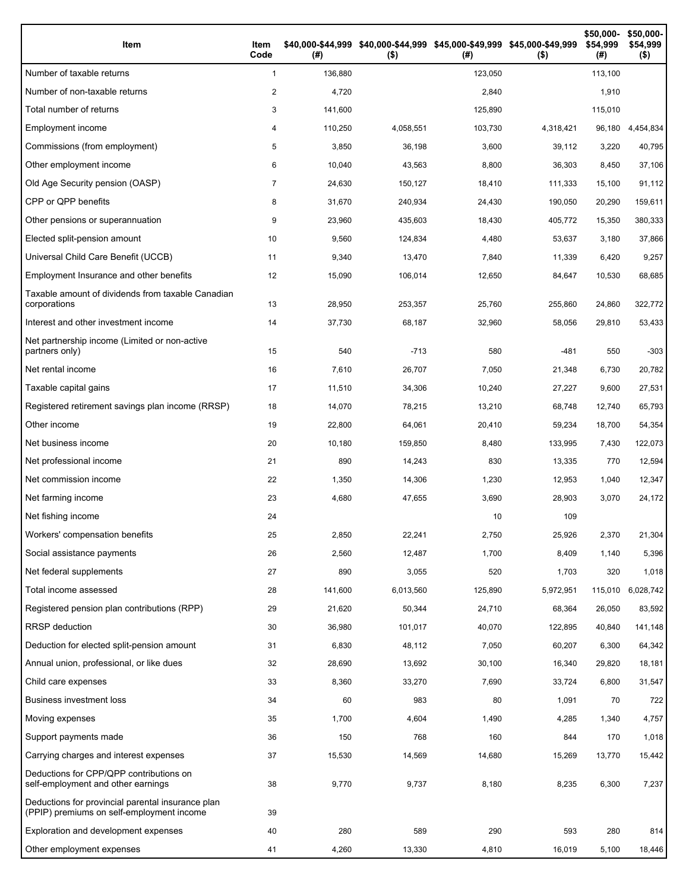| Item                                                                                           | Item<br>Code   | (#)     | \$40,000-\$44,999 \$40,000-\$44,999 \$45,000-\$49,999 \$45,000-\$49,999<br>$($ \$) | (# )    | $($ \$)   | \$50,000-<br>\$54,999<br>(#) | \$50,000-<br>\$54,999<br>$($ \$) |
|------------------------------------------------------------------------------------------------|----------------|---------|------------------------------------------------------------------------------------|---------|-----------|------------------------------|----------------------------------|
| Number of taxable returns                                                                      | $\mathbf{1}$   | 136,880 |                                                                                    | 123,050 |           | 113,100                      |                                  |
| Number of non-taxable returns                                                                  | 2              | 4,720   |                                                                                    | 2,840   |           | 1,910                        |                                  |
| Total number of returns                                                                        | 3              | 141,600 |                                                                                    | 125,890 |           | 115,010                      |                                  |
| Employment income                                                                              | 4              | 110,250 | 4,058,551                                                                          | 103,730 | 4,318,421 | 96,180                       | 4,454,834                        |
| Commissions (from employment)                                                                  | 5              | 3,850   | 36,198                                                                             | 3,600   | 39,112    | 3,220                        | 40,795                           |
| Other employment income                                                                        | 6              | 10,040  | 43,563                                                                             | 8,800   | 36,303    | 8,450                        | 37,106                           |
| Old Age Security pension (OASP)                                                                | $\overline{7}$ | 24,630  | 150,127                                                                            | 18,410  | 111,333   | 15,100                       | 91,112                           |
| CPP or QPP benefits                                                                            | 8              | 31,670  | 240,934                                                                            | 24,430  | 190,050   | 20,290                       | 159,611                          |
| Other pensions or superannuation                                                               | 9              | 23,960  | 435,603                                                                            | 18,430  | 405,772   | 15,350                       | 380,333                          |
| Elected split-pension amount                                                                   | 10             | 9,560   | 124,834                                                                            | 4,480   | 53,637    | 3,180                        | 37,866                           |
| Universal Child Care Benefit (UCCB)                                                            | 11             | 9,340   | 13,470                                                                             | 7,840   | 11,339    | 6,420                        | 9,257                            |
| Employment Insurance and other benefits                                                        | 12             | 15,090  | 106,014                                                                            | 12,650  | 84,647    | 10,530                       | 68,685                           |
| Taxable amount of dividends from taxable Canadian<br>corporations                              | 13             | 28,950  | 253,357                                                                            | 25,760  | 255,860   | 24,860                       | 322,772                          |
| Interest and other investment income                                                           | 14             | 37,730  | 68,187                                                                             | 32,960  | 58,056    | 29,810                       | 53,433                           |
| Net partnership income (Limited or non-active<br>partners only)                                | 15             | 540     | $-713$                                                                             | 580     | $-481$    | 550                          | $-303$                           |
| Net rental income                                                                              | 16             | 7,610   | 26,707                                                                             | 7,050   | 21,348    | 6,730                        | 20,782                           |
| Taxable capital gains                                                                          | 17             | 11,510  | 34,306                                                                             | 10,240  | 27,227    | 9,600                        | 27,531                           |
| Registered retirement savings plan income (RRSP)                                               | 18             | 14,070  | 78,215                                                                             | 13,210  | 68,748    | 12,740                       | 65,793                           |
| Other income                                                                                   | 19             | 22,800  | 64,061                                                                             | 20,410  | 59,234    | 18,700                       | 54,354                           |
| Net business income                                                                            | 20             | 10,180  | 159,850                                                                            | 8,480   | 133,995   | 7,430                        | 122,073                          |
| Net professional income                                                                        | 21             | 890     | 14,243                                                                             | 830     | 13,335    | 770                          | 12,594                           |
| Net commission income                                                                          | 22             | 1,350   | 14,306                                                                             | 1,230   | 12,953    | 1,040                        | 12,347                           |
| Net farming income                                                                             | 23             | 4,680   | 47,655                                                                             | 3,690   | 28,903    | 3,070                        | 24,172                           |
| Net fishing income                                                                             | 24             |         |                                                                                    | 10      | 109       |                              |                                  |
| Workers' compensation benefits                                                                 | 25             | 2,850   | 22,241                                                                             | 2,750   | 25,926    | 2,370                        | 21,304                           |
| Social assistance payments                                                                     | 26             | 2,560   | 12,487                                                                             | 1,700   | 8,409     | 1,140                        | 5,396                            |
| Net federal supplements                                                                        | 27             | 890     | 3,055                                                                              | 520     | 1,703     | 320                          | 1,018                            |
| Total income assessed                                                                          | 28             | 141,600 | 6,013,560                                                                          | 125,890 | 5,972,951 | 115,010                      | 6,028,742                        |
| Registered pension plan contributions (RPP)                                                    | 29             | 21,620  | 50,344                                                                             | 24,710  | 68,364    | 26,050                       | 83,592                           |
| RRSP deduction                                                                                 | 30             | 36,980  | 101,017                                                                            | 40,070  | 122,895   | 40,840                       | 141,148                          |
| Deduction for elected split-pension amount                                                     | 31             | 6,830   | 48,112                                                                             | 7,050   | 60,207    | 6,300                        | 64,342                           |
| Annual union, professional, or like dues                                                       | 32             | 28,690  | 13,692                                                                             | 30,100  | 16,340    | 29,820                       | 18,181                           |
| Child care expenses                                                                            | 33             | 8,360   | 33,270                                                                             | 7,690   | 33,724    | 6,800                        | 31,547                           |
| <b>Business investment loss</b>                                                                | 34             | 60      | 983                                                                                | 80      | 1,091     | 70                           | 722                              |
| Moving expenses                                                                                | 35             | 1,700   | 4,604                                                                              | 1,490   | 4,285     | 1,340                        | 4,757                            |
| Support payments made                                                                          | 36             | 150     | 768                                                                                | 160     | 844       | 170                          | 1,018                            |
| Carrying charges and interest expenses                                                         | 37             | 15,530  | 14,569                                                                             | 14,680  | 15,269    | 13,770                       | 15,442                           |
| Deductions for CPP/QPP contributions on<br>self-employment and other earnings                  | 38             | 9,770   | 9,737                                                                              | 8,180   | 8,235     | 6,300                        | 7,237                            |
| Deductions for provincial parental insurance plan<br>(PPIP) premiums on self-employment income | 39             |         |                                                                                    |         |           |                              |                                  |
| Exploration and development expenses                                                           | 40             | 280     | 589                                                                                | 290     | 593       | 280                          | 814                              |
| Other employment expenses                                                                      | 41             | 4,260   | 13,330                                                                             | 4,810   | 16,019    | 5,100                        | 18,446                           |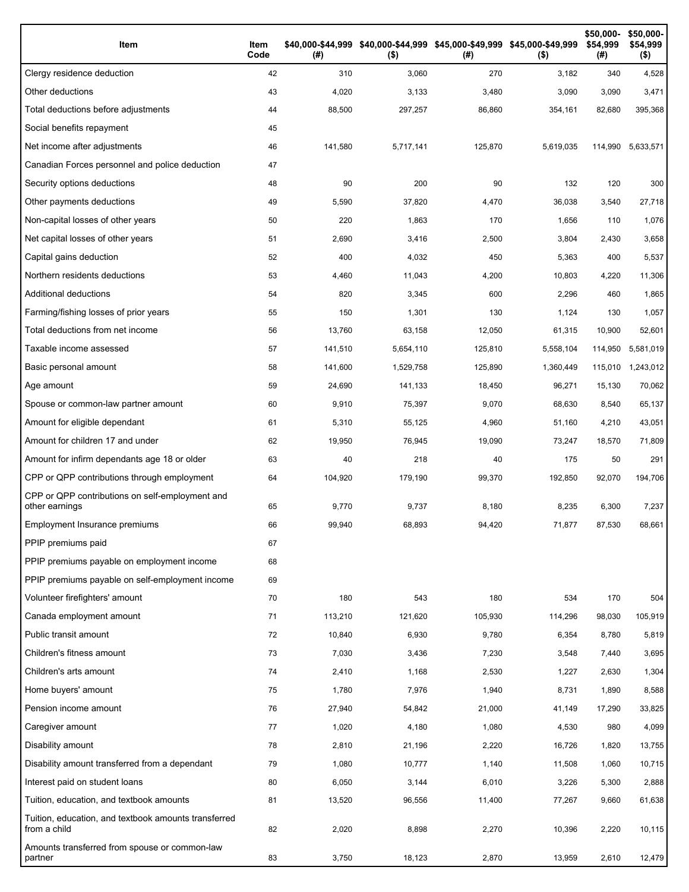| Item                                                                 | Item<br>Code | (# )    | \$40,000-\$44,999 \$40,000-\$44,999 \$45,000-\$49,999 \$45,000-\$49,999<br>$($ \$) | (#)     | $($ \$)   | \$50,000-<br>\$54,999<br>(#) | \$50,000-<br>\$54,999<br>$($ \$) |
|----------------------------------------------------------------------|--------------|---------|------------------------------------------------------------------------------------|---------|-----------|------------------------------|----------------------------------|
| Clergy residence deduction                                           | 42           | 310     | 3,060                                                                              | 270     | 3,182     | 340                          | 4,528                            |
| Other deductions                                                     | 43           | 4,020   | 3,133                                                                              | 3,480   | 3,090     | 3,090                        | 3,471                            |
| Total deductions before adjustments                                  | 44           | 88,500  | 297,257                                                                            | 86,860  | 354,161   | 82,680                       | 395,368                          |
| Social benefits repayment                                            | 45           |         |                                                                                    |         |           |                              |                                  |
| Net income after adjustments                                         | 46           | 141,580 | 5,717,141                                                                          | 125,870 | 5,619,035 | 114,990                      | 5,633,571                        |
| Canadian Forces personnel and police deduction                       | 47           |         |                                                                                    |         |           |                              |                                  |
| Security options deductions                                          | 48           | 90      | 200                                                                                | 90      | 132       | 120                          | 300                              |
| Other payments deductions                                            | 49           | 5,590   | 37,820                                                                             | 4,470   | 36,038    | 3,540                        | 27,718                           |
| Non-capital losses of other years                                    | 50           | 220     | 1,863                                                                              | 170     | 1,656     | 110                          | 1,076                            |
| Net capital losses of other years                                    | 51           | 2,690   | 3,416                                                                              | 2,500   | 3,804     | 2,430                        | 3,658                            |
| Capital gains deduction                                              | 52           | 400     | 4,032                                                                              | 450     | 5,363     | 400                          | 5,537                            |
| Northern residents deductions                                        | 53           | 4,460   | 11,043                                                                             | 4,200   | 10,803    | 4,220                        | 11,306                           |
| Additional deductions                                                | 54           | 820     | 3,345                                                                              | 600     | 2,296     | 460                          | 1,865                            |
| Farming/fishing losses of prior years                                | 55           | 150     | 1,301                                                                              | 130     | 1,124     | 130                          | 1,057                            |
| Total deductions from net income                                     | 56           | 13,760  | 63,158                                                                             | 12,050  | 61,315    | 10,900                       | 52,601                           |
| Taxable income assessed                                              | 57           | 141,510 | 5,654,110                                                                          | 125,810 | 5,558,104 | 114,950                      | 5,581,019                        |
| Basic personal amount                                                | 58           | 141,600 | 1,529,758                                                                          | 125,890 | 1,360,449 | 115,010                      | 1,243,012                        |
| Age amount                                                           | 59           | 24,690  | 141,133                                                                            | 18,450  | 96,271    | 15,130                       | 70,062                           |
| Spouse or common-law partner amount                                  | 60           | 9,910   | 75,397                                                                             | 9,070   | 68,630    | 8,540                        | 65,137                           |
| Amount for eligible dependant                                        | 61           | 5,310   | 55,125                                                                             | 4,960   | 51,160    | 4,210                        | 43,051                           |
| Amount for children 17 and under                                     | 62           | 19,950  | 76,945                                                                             | 19,090  | 73,247    | 18,570                       | 71,809                           |
| Amount for infirm dependants age 18 or older                         | 63           | 40      | 218                                                                                | 40      | 175       | 50                           | 291                              |
| CPP or QPP contributions through employment                          | 64           | 104,920 | 179,190                                                                            | 99,370  | 192,850   | 92,070                       | 194,706                          |
| CPP or QPP contributions on self-employment and<br>other earnings    | 65           | 9,770   | 9,737                                                                              | 8,180   | 8,235     | 6,300                        | 7,237                            |
| Employment Insurance premiums                                        | 66           | 99,940  | 68,893                                                                             | 94,420  | 71,877    | 87,530                       | 68,661                           |
| PPIP premiums paid                                                   | 67           |         |                                                                                    |         |           |                              |                                  |
| PPIP premiums payable on employment income                           | 68           |         |                                                                                    |         |           |                              |                                  |
| PPIP premiums payable on self-employment income                      | 69           |         |                                                                                    |         |           |                              |                                  |
| Volunteer firefighters' amount                                       | 70           | 180     | 543                                                                                | 180     | 534       | 170                          | 504                              |
| Canada employment amount                                             | 71           | 113,210 | 121,620                                                                            | 105,930 | 114,296   | 98,030                       | 105,919                          |
| Public transit amount                                                | 72           | 10,840  | 6,930                                                                              | 9,780   | 6,354     | 8,780                        | 5,819                            |
| Children's fitness amount                                            | 73           | 7,030   | 3,436                                                                              | 7,230   | 3,548     | 7,440                        | 3,695                            |
| Children's arts amount                                               | 74           | 2,410   | 1,168                                                                              | 2,530   | 1,227     | 2,630                        | 1,304                            |
| Home buyers' amount                                                  | 75           | 1,780   | 7,976                                                                              | 1,940   | 8,731     | 1,890                        | 8,588                            |
| Pension income amount                                                | 76           | 27,940  | 54,842                                                                             | 21,000  | 41,149    | 17,290                       | 33,825                           |
| Caregiver amount                                                     | 77           | 1,020   | 4,180                                                                              | 1,080   | 4,530     | 980                          | 4,099                            |
| Disability amount                                                    | 78           | 2,810   | 21,196                                                                             | 2,220   | 16,726    | 1,820                        | 13,755                           |
| Disability amount transferred from a dependant                       | 79           | 1,080   | 10,777                                                                             | 1,140   | 11,508    | 1,060                        | 10,715                           |
| Interest paid on student loans                                       | 80           | 6,050   | 3,144                                                                              | 6,010   | 3,226     | 5,300                        | 2,888                            |
| Tuition, education, and textbook amounts                             | 81           | 13,520  | 96,556                                                                             | 11,400  | 77,267    | 9,660                        | 61,638                           |
| Tuition, education, and textbook amounts transferred<br>from a child | 82           | 2,020   | 8,898                                                                              | 2,270   | 10,396    | 2,220                        | 10,115                           |
| Amounts transferred from spouse or common-law<br>partner             | 83           | 3,750   | 18,123                                                                             | 2,870   | 13,959    | 2,610                        | 12,479                           |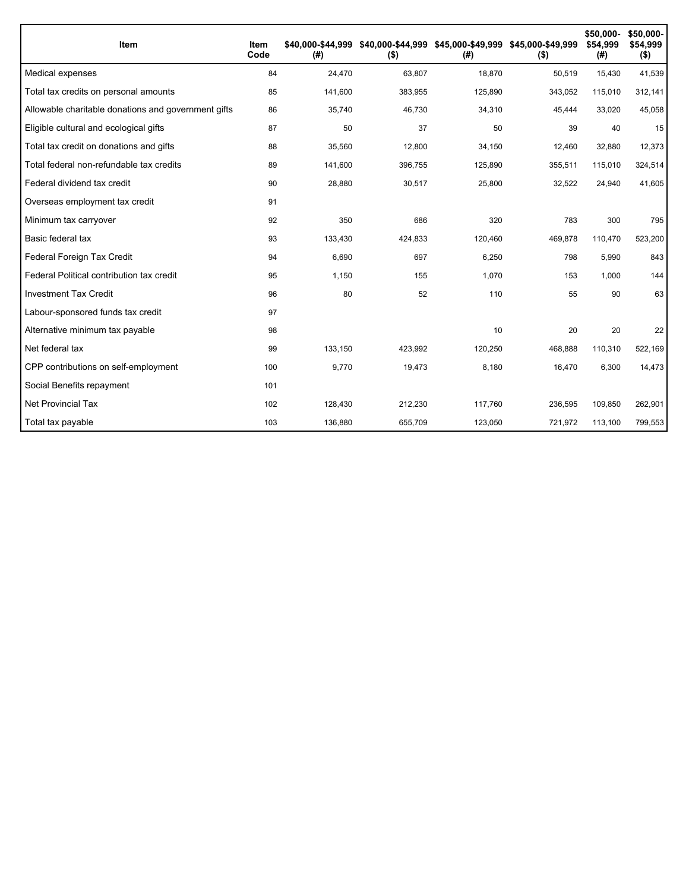| <b>Item</b>                                         | Item<br>Code | \$40.000-\$44.999<br>(#) | $($ \$) | \$40,000-\$44,999 \$45,000-\$49,999 \$45,000-\$49,999<br>(#) | $($ \$) | \$50,000-<br>\$54,999<br>(#) | \$50,000-<br>\$54,999<br>$($ \$) |
|-----------------------------------------------------|--------------|--------------------------|---------|--------------------------------------------------------------|---------|------------------------------|----------------------------------|
| Medical expenses                                    | 84           | 24,470                   | 63,807  | 18,870                                                       | 50,519  | 15,430                       | 41,539                           |
| Total tax credits on personal amounts               | 85           | 141,600                  | 383,955 | 125,890                                                      | 343,052 | 115,010                      | 312,141                          |
| Allowable charitable donations and government gifts | 86           | 35,740                   | 46,730  | 34,310                                                       | 45,444  | 33,020                       | 45,058                           |
| Eligible cultural and ecological gifts              | 87           | 50                       | 37      | 50                                                           | 39      | 40                           | 15                               |
| Total tax credit on donations and gifts             | 88           | 35,560                   | 12,800  | 34,150                                                       | 12,460  | 32,880                       | 12,373                           |
| Total federal non-refundable tax credits            | 89           | 141,600                  | 396,755 | 125,890                                                      | 355,511 | 115,010                      | 324,514                          |
| Federal dividend tax credit                         | 90           | 28,880                   | 30,517  | 25,800                                                       | 32,522  | 24,940                       | 41,605                           |
| Overseas employment tax credit                      | 91           |                          |         |                                                              |         |                              |                                  |
| Minimum tax carryover                               | 92           | 350                      | 686     | 320                                                          | 783     | 300                          | 795                              |
| Basic federal tax                                   | 93           | 133,430                  | 424,833 | 120,460                                                      | 469,878 | 110,470                      | 523,200                          |
| Federal Foreign Tax Credit                          | 94           | 6,690                    | 697     | 6,250                                                        | 798     | 5,990                        | 843                              |
| Federal Political contribution tax credit           | 95           | 1,150                    | 155     | 1,070                                                        | 153     | 1,000                        | 144                              |
| <b>Investment Tax Credit</b>                        | 96           | 80                       | 52      | 110                                                          | 55      | 90                           | 63                               |
| Labour-sponsored funds tax credit                   | 97           |                          |         |                                                              |         |                              |                                  |
| Alternative minimum tax payable                     | 98           |                          |         | 10                                                           | 20      | 20                           | 22                               |
| Net federal tax                                     | 99           | 133,150                  | 423,992 | 120,250                                                      | 468,888 | 110,310                      | 522,169                          |
| CPP contributions on self-employment                | 100          | 9,770                    | 19,473  | 8,180                                                        | 16,470  | 6,300                        | 14,473                           |
| Social Benefits repayment                           | 101          |                          |         |                                                              |         |                              |                                  |
| <b>Net Provincial Tax</b>                           | 102          | 128,430                  | 212,230 | 117,760                                                      | 236,595 | 109,850                      | 262,901                          |
| Total tax payable                                   | 103          | 136,880                  | 655,709 | 123,050                                                      | 721,972 | 113,100                      | 799,553                          |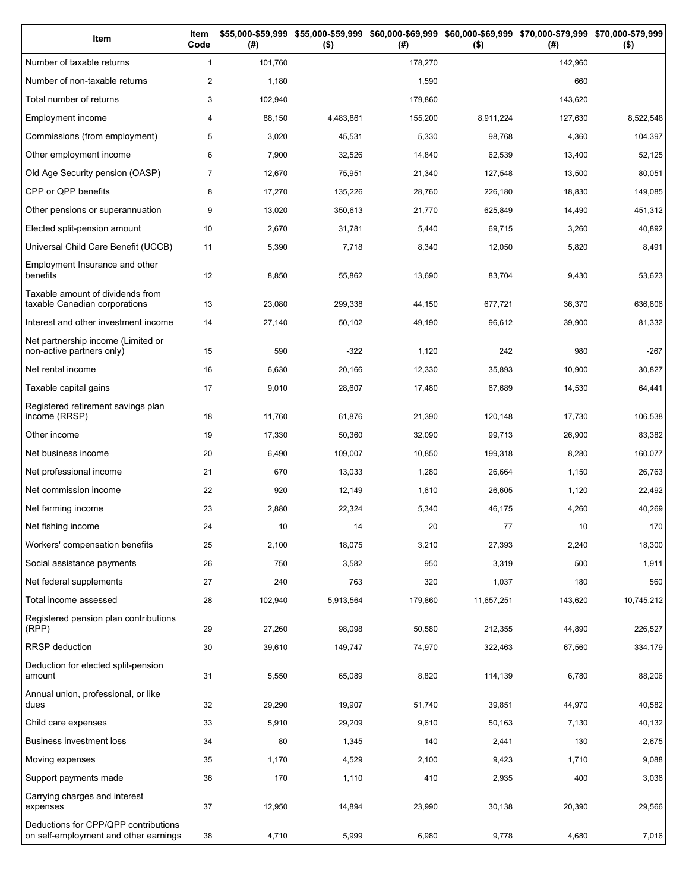| Item                                                                          | Item<br>Code   | (# )    | \$55,000-\$59,999 \$55,000-\$59,999<br>$($ \$) | (# )    | \$60,000-\$69,999 \$60,000-\$69,999 \$70,000-\$79,999 \$70,000-\$79,999<br>$($ \$) | (# )    | $($ \$)    |
|-------------------------------------------------------------------------------|----------------|---------|------------------------------------------------|---------|------------------------------------------------------------------------------------|---------|------------|
| Number of taxable returns                                                     | $\mathbf{1}$   | 101,760 |                                                | 178,270 |                                                                                    | 142,960 |            |
| Number of non-taxable returns                                                 | $\overline{2}$ | 1,180   |                                                | 1,590   |                                                                                    | 660     |            |
| Total number of returns                                                       | 3              | 102,940 |                                                | 179,860 |                                                                                    | 143,620 |            |
| Employment income                                                             | 4              | 88,150  | 4,483,861                                      | 155,200 | 8,911,224                                                                          | 127,630 | 8,522,548  |
| Commissions (from employment)                                                 | 5              | 3,020   | 45,531                                         | 5,330   | 98,768                                                                             | 4,360   | 104,397    |
| Other employment income                                                       | 6              | 7,900   | 32,526                                         | 14,840  | 62,539                                                                             | 13,400  | 52,125     |
| Old Age Security pension (OASP)                                               | $\overline{7}$ | 12,670  | 75,951                                         | 21,340  | 127,548                                                                            | 13,500  | 80,051     |
| CPP or QPP benefits                                                           | 8              | 17,270  | 135,226                                        | 28,760  | 226,180                                                                            | 18,830  | 149,085    |
| Other pensions or superannuation                                              | 9              | 13,020  | 350,613                                        | 21,770  | 625,849                                                                            | 14,490  | 451,312    |
| Elected split-pension amount                                                  | 10             | 2,670   | 31,781                                         | 5,440   | 69,715                                                                             | 3,260   | 40,892     |
| Universal Child Care Benefit (UCCB)                                           | 11             | 5,390   | 7,718                                          | 8,340   | 12,050                                                                             | 5,820   | 8,491      |
| Employment Insurance and other<br>benefits                                    | 12             | 8,850   | 55,862                                         | 13,690  | 83,704                                                                             | 9,430   | 53,623     |
| Taxable amount of dividends from<br>taxable Canadian corporations             | 13             | 23,080  | 299,338                                        | 44,150  | 677,721                                                                            | 36,370  | 636,806    |
| Interest and other investment income                                          | 14             | 27,140  | 50,102                                         | 49,190  | 96,612                                                                             | 39,900  | 81,332     |
| Net partnership income (Limited or<br>non-active partners only)               | 15             | 590     | $-322$                                         | 1,120   | 242                                                                                | 980     | $-267$     |
| Net rental income                                                             | 16             | 6,630   | 20,166                                         | 12,330  | 35,893                                                                             | 10,900  | 30,827     |
| Taxable capital gains                                                         | 17             | 9,010   | 28,607                                         | 17,480  | 67,689                                                                             | 14,530  | 64,441     |
| Registered retirement savings plan<br>income (RRSP)                           | 18             | 11,760  | 61,876                                         | 21,390  | 120,148                                                                            | 17,730  | 106,538    |
| Other income                                                                  | 19             | 17,330  | 50,360                                         | 32,090  | 99,713                                                                             | 26,900  | 83,382     |
| Net business income                                                           | 20             | 6,490   | 109,007                                        | 10,850  | 199,318                                                                            | 8,280   | 160,077    |
| Net professional income                                                       | 21             | 670     | 13,033                                         | 1,280   | 26,664                                                                             | 1,150   | 26,763     |
| Net commission income                                                         | 22             | 920     | 12,149                                         | 1,610   | 26,605                                                                             | 1,120   | 22,492     |
| Net farming income                                                            | 23             | 2,880   | 22,324                                         | 5,340   | 46,175                                                                             | 4,260   | 40,269     |
| Net fishing income                                                            | 24             | 10      | 14                                             | 20      | 77                                                                                 | 10      | 170        |
| Workers' compensation benefits                                                | 25             | 2,100   | 18,075                                         | 3,210   | 27,393                                                                             | 2,240   | 18,300     |
| Social assistance payments                                                    | 26             | 750     | 3,582                                          | 950     | 3,319                                                                              | 500     | 1,911      |
| Net federal supplements                                                       | 27             | 240     | 763                                            | 320     | 1,037                                                                              | 180     | 560        |
| Total income assessed                                                         | 28             | 102,940 | 5,913,564                                      | 179,860 | 11,657,251                                                                         | 143,620 | 10,745,212 |
| Registered pension plan contributions<br>(RPP)                                | 29             | 27,260  | 98,098                                         | 50,580  | 212,355                                                                            | 44,890  | 226,527    |
| RRSP deduction                                                                | 30             | 39,610  | 149,747                                        | 74,970  | 322,463                                                                            | 67,560  | 334,179    |
| Deduction for elected split-pension<br>amount                                 | 31             | 5,550   | 65,089                                         | 8,820   | 114,139                                                                            | 6,780   | 88,206     |
| Annual union, professional, or like<br>dues                                   | 32             | 29,290  | 19,907                                         | 51,740  | 39,851                                                                             | 44,970  | 40,582     |
| Child care expenses                                                           | 33             | 5,910   | 29,209                                         | 9,610   | 50,163                                                                             | 7,130   | 40,132     |
| Business investment loss                                                      | 34             | 80      | 1,345                                          | 140     | 2,441                                                                              | 130     | 2,675      |
| Moving expenses                                                               | 35             | 1,170   | 4,529                                          | 2,100   | 9,423                                                                              | 1,710   | 9,088      |
| Support payments made                                                         | 36             | 170     | 1,110                                          | 410     | 2,935                                                                              | 400     | 3,036      |
| Carrying charges and interest<br>expenses                                     | 37             | 12,950  | 14,894                                         | 23,990  | 30,138                                                                             | 20,390  | 29,566     |
| Deductions for CPP/QPP contributions<br>on self-employment and other earnings | 38             | 4,710   | 5,999                                          | 6,980   | 9,778                                                                              | 4,680   | 7,016      |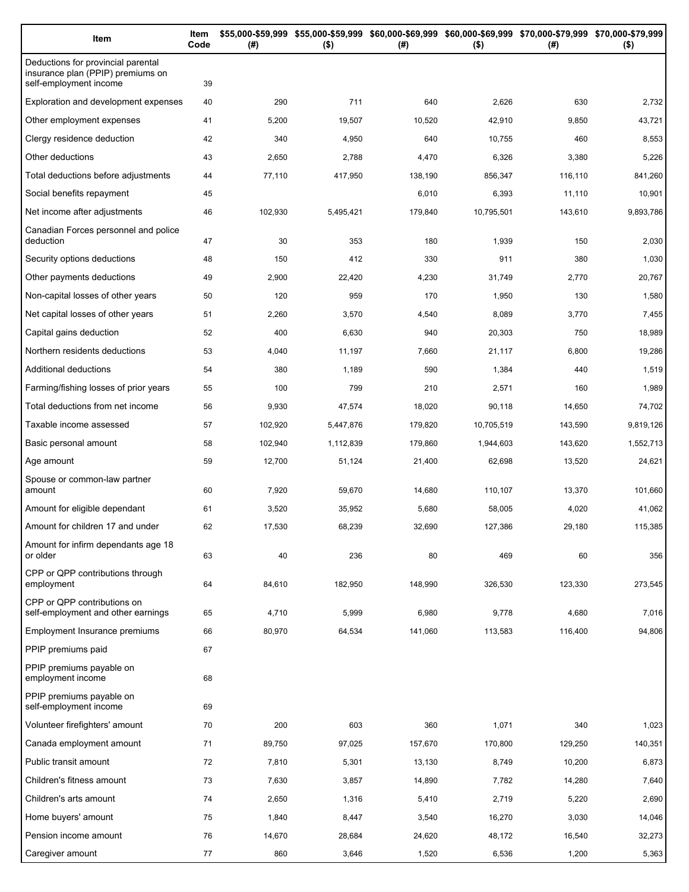| Item                                                                                              | Item<br>Code | (#)     | $($ \$)   | \$55,000-\$59,999 \$55,000-\$59,999 \$60,000-\$69,999 \$60,000-\$69,999 \$70,000-\$79,999 \$70,000-\$79,999<br>(#) | $($ \$)    | (# )    | $($ \$)   |
|---------------------------------------------------------------------------------------------------|--------------|---------|-----------|--------------------------------------------------------------------------------------------------------------------|------------|---------|-----------|
| Deductions for provincial parental<br>insurance plan (PPIP) premiums on<br>self-employment income | 39           |         |           |                                                                                                                    |            |         |           |
| Exploration and development expenses                                                              | 40           | 290     | 711       | 640                                                                                                                | 2,626      | 630     | 2,732     |
| Other employment expenses                                                                         | 41           | 5,200   | 19,507    | 10,520                                                                                                             | 42,910     | 9,850   | 43,721    |
| Clergy residence deduction                                                                        | 42           | 340     | 4,950     | 640                                                                                                                | 10,755     | 460     | 8,553     |
| Other deductions                                                                                  | 43           | 2,650   | 2,788     | 4,470                                                                                                              | 6,326      | 3,380   | 5,226     |
| Total deductions before adjustments                                                               | 44           | 77,110  | 417,950   | 138,190                                                                                                            | 856,347    | 116,110 | 841,260   |
| Social benefits repayment                                                                         | 45           |         |           | 6,010                                                                                                              | 6,393      | 11,110  | 10,901    |
| Net income after adjustments                                                                      | 46           | 102,930 | 5,495,421 | 179,840                                                                                                            | 10,795,501 | 143,610 | 9,893,786 |
| Canadian Forces personnel and police<br>deduction                                                 | 47           | 30      | 353       | 180                                                                                                                | 1,939      | 150     | 2,030     |
| Security options deductions                                                                       | 48           | 150     | 412       | 330                                                                                                                | 911        | 380     | 1,030     |
| Other payments deductions                                                                         | 49           | 2,900   | 22,420    | 4,230                                                                                                              | 31,749     | 2,770   | 20,767    |
| Non-capital losses of other years                                                                 | 50           | 120     | 959       | 170                                                                                                                | 1,950      | 130     | 1,580     |
| Net capital losses of other years                                                                 | 51           | 2,260   | 3,570     | 4,540                                                                                                              | 8,089      | 3,770   | 7,455     |
| Capital gains deduction                                                                           | 52           | 400     | 6,630     | 940                                                                                                                | 20,303     | 750     | 18,989    |
| Northern residents deductions                                                                     | 53           | 4,040   | 11,197    | 7,660                                                                                                              | 21,117     | 6,800   | 19,286    |
| Additional deductions                                                                             | 54           | 380     | 1,189     | 590                                                                                                                | 1,384      | 440     | 1,519     |
| Farming/fishing losses of prior years                                                             | 55           | 100     | 799       | 210                                                                                                                | 2,571      | 160     | 1,989     |
| Total deductions from net income                                                                  | 56           | 9,930   | 47,574    | 18,020                                                                                                             | 90,118     | 14,650  | 74,702    |
| Taxable income assessed                                                                           | 57           | 102,920 | 5,447,876 | 179,820                                                                                                            | 10,705,519 | 143,590 | 9,819,126 |
| Basic personal amount                                                                             | 58           | 102,940 | 1,112,839 | 179,860                                                                                                            | 1,944,603  | 143,620 | 1,552,713 |
| Age amount                                                                                        | 59           | 12,700  | 51,124    | 21,400                                                                                                             | 62,698     | 13,520  | 24,621    |
| Spouse or common-law partner<br>amount                                                            | 60           | 7,920   | 59,670    | 14,680                                                                                                             | 110,107    | 13,370  | 101,660   |
| Amount for eligible dependant                                                                     | 61           | 3,520   | 35,952    | 5,680                                                                                                              | 58,005     | 4,020   | 41,062    |
| Amount for children 17 and under                                                                  | 62           | 17,530  | 68,239    | 32,690                                                                                                             | 127,386    | 29,180  | 115,385   |
| Amount for infirm dependants age 18<br>or older                                                   | 63           | 40      | 236       | 80                                                                                                                 | 469        | 60      | 356       |
| CPP or QPP contributions through<br>employment                                                    | 64           | 84,610  | 182,950   | 148,990                                                                                                            | 326,530    | 123,330 | 273,545   |
| CPP or QPP contributions on<br>self-employment and other earnings                                 | 65           | 4,710   | 5,999     | 6,980                                                                                                              | 9,778      | 4,680   | 7,016     |
| Employment Insurance premiums                                                                     | 66           | 80,970  | 64,534    | 141,060                                                                                                            | 113,583    | 116,400 | 94,806    |
| PPIP premiums paid                                                                                | 67           |         |           |                                                                                                                    |            |         |           |
| PPIP premiums payable on<br>employment income                                                     | 68           |         |           |                                                                                                                    |            |         |           |
| PPIP premiums payable on<br>self-employment income                                                | 69           |         |           |                                                                                                                    |            |         |           |
| Volunteer firefighters' amount                                                                    | 70           | 200     | 603       | 360                                                                                                                | 1,071      | 340     | 1,023     |
| Canada employment amount                                                                          | 71           | 89,750  | 97,025    | 157,670                                                                                                            | 170,800    | 129,250 | 140,351   |
| Public transit amount                                                                             | 72           | 7,810   | 5,301     | 13,130                                                                                                             | 8,749      | 10,200  | 6,873     |
| Children's fitness amount                                                                         | 73           | 7,630   | 3,857     | 14,890                                                                                                             | 7,782      | 14,280  | 7,640     |
| Children's arts amount                                                                            | 74           | 2,650   | 1,316     | 5,410                                                                                                              | 2,719      | 5,220   | 2,690     |
| Home buyers' amount                                                                               | 75           | 1,840   | 8,447     | 3,540                                                                                                              | 16,270     | 3,030   | 14,046    |
| Pension income amount                                                                             | 76           | 14,670  | 28,684    | 24,620                                                                                                             | 48,172     | 16,540  | 32,273    |
| Caregiver amount                                                                                  | 77           | 860     | 3,646     | 1,520                                                                                                              | 6,536      | 1,200   | 5,363     |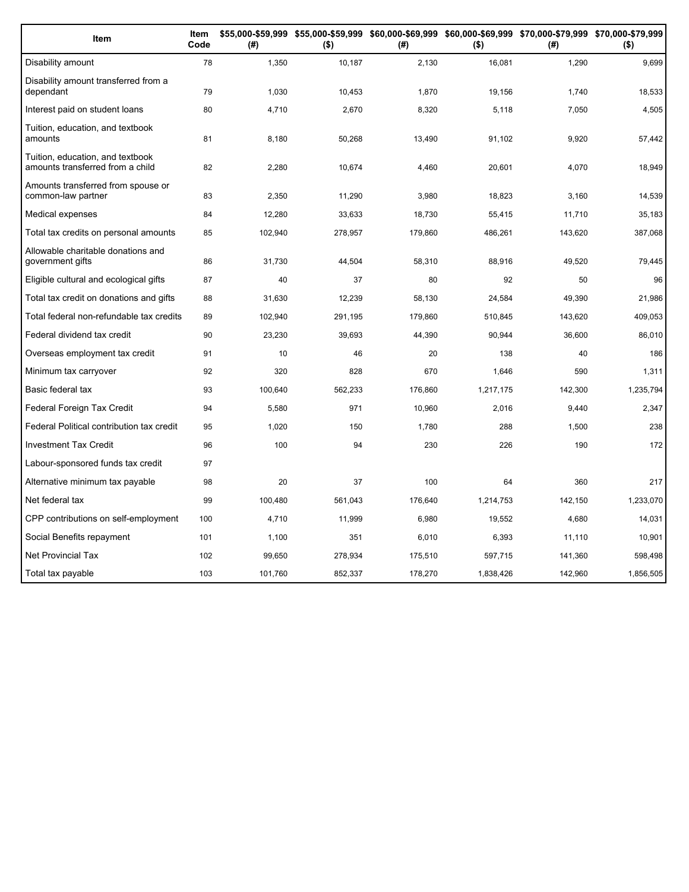| Item                                                                 | Item<br>Code | (#)     | $($ \$) | (#)     | $($ \$)   | \$55,000-\$59,999 \$55,000-\$59,999 \$60,000-\$69,999 \$60,000-\$69,999 \$70,000-\$79,999 \$70,000-\$79,999<br>(#) | $($ \$)   |
|----------------------------------------------------------------------|--------------|---------|---------|---------|-----------|--------------------------------------------------------------------------------------------------------------------|-----------|
| Disability amount                                                    | 78           | 1,350   | 10,187  | 2,130   | 16,081    | 1,290                                                                                                              | 9,699     |
| Disability amount transferred from a<br>dependant                    | 79           | 1,030   | 10,453  | 1,870   | 19,156    | 1,740                                                                                                              | 18,533    |
| Interest paid on student loans                                       | 80           | 4,710   | 2,670   | 8,320   | 5,118     | 7,050                                                                                                              | 4,505     |
| Tuition, education, and textbook<br>amounts                          | 81           | 8,180   | 50,268  | 13,490  | 91,102    | 9,920                                                                                                              | 57,442    |
| Tuition, education, and textbook<br>amounts transferred from a child | 82           | 2,280   | 10,674  | 4,460   | 20,601    | 4,070                                                                                                              | 18,949    |
| Amounts transferred from spouse or<br>common-law partner             | 83           | 2,350   | 11,290  | 3,980   | 18,823    | 3,160                                                                                                              | 14,539    |
| Medical expenses                                                     | 84           | 12,280  | 33,633  | 18,730  | 55,415    | 11,710                                                                                                             | 35,183    |
| Total tax credits on personal amounts                                | 85           | 102,940 | 278,957 | 179,860 | 486,261   | 143,620                                                                                                            | 387,068   |
| Allowable charitable donations and<br>government gifts               | 86           | 31,730  | 44,504  | 58,310  | 88,916    | 49,520                                                                                                             | 79,445    |
| Eligible cultural and ecological gifts                               | 87           | 40      | 37      | 80      | 92        | 50                                                                                                                 | 96        |
| Total tax credit on donations and gifts                              | 88           | 31,630  | 12,239  | 58.130  | 24,584    | 49.390                                                                                                             | 21,986    |
| Total federal non-refundable tax credits                             | 89           | 102,940 | 291,195 | 179,860 | 510,845   | 143,620                                                                                                            | 409,053   |
| Federal dividend tax credit                                          | 90           | 23,230  | 39,693  | 44,390  | 90,944    | 36,600                                                                                                             | 86,010    |
| Overseas employment tax credit                                       | 91           | 10      | 46      | 20      | 138       | 40                                                                                                                 | 186       |
| Minimum tax carryover                                                | 92           | 320     | 828     | 670     | 1.646     | 590                                                                                                                | 1,311     |
| Basic federal tax                                                    | 93           | 100,640 | 562,233 | 176,860 | 1,217,175 | 142,300                                                                                                            | 1,235,794 |
| Federal Foreign Tax Credit                                           | 94           | 5,580   | 971     | 10,960  | 2,016     | 9,440                                                                                                              | 2,347     |
| Federal Political contribution tax credit                            | 95           | 1,020   | 150     | 1,780   | 288       | 1,500                                                                                                              | 238       |
| <b>Investment Tax Credit</b>                                         | 96           | 100     | 94      | 230     | 226       | 190                                                                                                                | 172       |
| Labour-sponsored funds tax credit                                    | 97           |         |         |         |           |                                                                                                                    |           |
| Alternative minimum tax payable                                      | 98           | 20      | 37      | 100     | 64        | 360                                                                                                                | 217       |
| Net federal tax                                                      | 99           | 100,480 | 561,043 | 176,640 | 1,214,753 | 142,150                                                                                                            | 1,233,070 |
| CPP contributions on self-employment                                 | 100          | 4,710   | 11,999  | 6,980   | 19,552    | 4,680                                                                                                              | 14,031    |
| Social Benefits repayment                                            | 101          | 1,100   | 351     | 6,010   | 6,393     | 11,110                                                                                                             | 10,901    |
| <b>Net Provincial Tax</b>                                            | 102          | 99,650  | 278,934 | 175,510 | 597,715   | 141,360                                                                                                            | 598,498   |
| Total tax payable                                                    | 103          | 101,760 | 852,337 | 178,270 | 1,838,426 | 142,960                                                                                                            | 1,856,505 |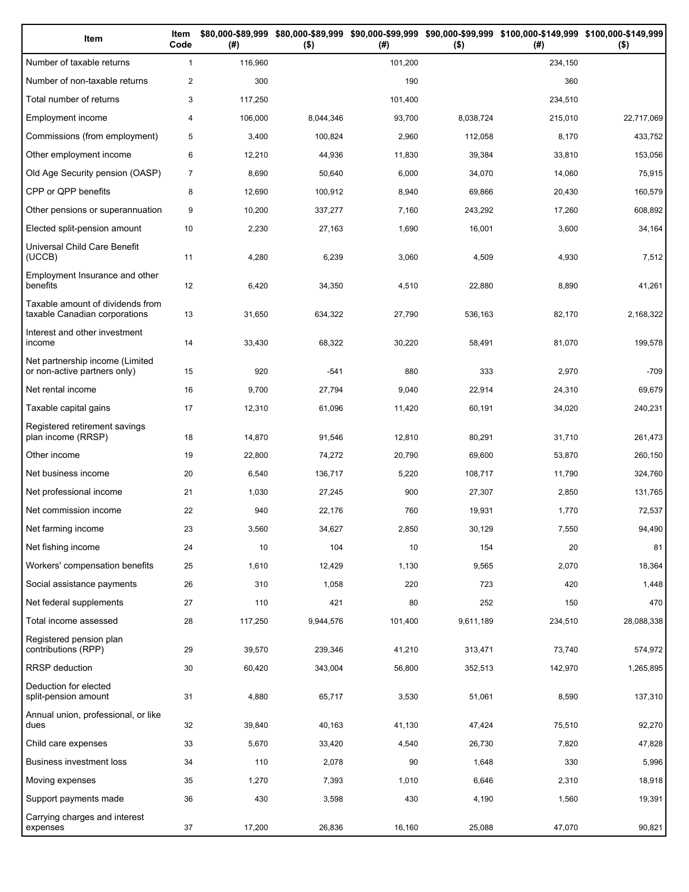| Item                                                              | Item<br>Code   | (# )    | $($ \$)   | (#)     | $($ \$)   | \$80,000-\$89,999 \$80,000-\$89,999 \$90,000-\$99,999 \$90,000-\$99,999 \$100,000-\$149,999 \$100,000-\$149,999<br>(# ) | $($ \$)    |
|-------------------------------------------------------------------|----------------|---------|-----------|---------|-----------|-------------------------------------------------------------------------------------------------------------------------|------------|
| Number of taxable returns                                         | $\mathbf{1}$   | 116,960 |           | 101,200 |           | 234,150                                                                                                                 |            |
| Number of non-taxable returns                                     | $\mathbf{2}$   | 300     |           | 190     |           | 360                                                                                                                     |            |
| Total number of returns                                           | 3              | 117,250 |           | 101,400 |           | 234,510                                                                                                                 |            |
| Employment income                                                 | $\overline{4}$ | 106,000 | 8,044,346 | 93,700  | 8,038,724 | 215,010                                                                                                                 | 22,717,069 |
| Commissions (from employment)                                     | 5              | 3,400   | 100,824   | 2,960   | 112,058   | 8,170                                                                                                                   | 433,752    |
| Other employment income                                           | 6              | 12,210  | 44,936    | 11,830  | 39,384    | 33,810                                                                                                                  | 153,056    |
| Old Age Security pension (OASP)                                   | $\overline{7}$ | 8,690   | 50,640    | 6,000   | 34,070    | 14,060                                                                                                                  | 75,915     |
| CPP or QPP benefits                                               | 8              | 12,690  | 100,912   | 8,940   | 69,866    | 20,430                                                                                                                  | 160,579    |
| Other pensions or superannuation                                  | 9              | 10,200  | 337,277   | 7,160   | 243,292   | 17,260                                                                                                                  | 608,892    |
| Elected split-pension amount                                      | 10             | 2,230   | 27,163    | 1,690   | 16,001    | 3,600                                                                                                                   | 34,164     |
| Universal Child Care Benefit<br>(UCCB)                            | 11             | 4,280   | 6,239     | 3,060   | 4,509     | 4,930                                                                                                                   | 7,512      |
| Employment Insurance and other<br>benefits                        | 12             | 6,420   | 34,350    | 4,510   | 22,880    | 8,890                                                                                                                   | 41,261     |
| Taxable amount of dividends from<br>taxable Canadian corporations | 13             | 31,650  | 634,322   | 27,790  | 536.163   | 82,170                                                                                                                  | 2,168,322  |
| Interest and other investment<br>income                           | 14             | 33,430  | 68,322    | 30,220  | 58,491    | 81,070                                                                                                                  | 199,578    |
| Net partnership income (Limited<br>or non-active partners only)   | 15             | 920     | $-541$    | 880     | 333       | 2,970                                                                                                                   | $-709$     |
| Net rental income                                                 | 16             | 9,700   | 27,794    | 9,040   | 22,914    | 24,310                                                                                                                  | 69,679     |
| Taxable capital gains                                             | 17             | 12,310  | 61,096    | 11,420  | 60,191    | 34,020                                                                                                                  | 240,231    |
| Registered retirement savings<br>plan income (RRSP)               | 18             | 14,870  | 91,546    | 12,810  | 80,291    | 31,710                                                                                                                  | 261,473    |
| Other income                                                      | 19             | 22,800  | 74,272    | 20,790  | 69,600    | 53,870                                                                                                                  | 260,150    |
| Net business income                                               | 20             | 6,540   | 136,717   | 5,220   | 108,717   | 11,790                                                                                                                  | 324,760    |
| Net professional income                                           | 21             | 1,030   | 27,245    | 900     | 27,307    | 2,850                                                                                                                   | 131,765    |
| Net commission income                                             | 22             | 940     | 22,176    | 760     | 19,931    | 1,770                                                                                                                   | 72,537     |
| Net farming income                                                | 23             | 3,560   | 34,627    | 2,850   | 30,129    | 7,550                                                                                                                   | 94,490     |
| Net fishing income                                                | 24             | 10      | 104       | 10      | 154       | 20                                                                                                                      | 81         |
| Workers' compensation benefits                                    | 25             | 1,610   | 12,429    | 1,130   | 9,565     | 2,070                                                                                                                   | 18,364     |
| Social assistance payments                                        | 26             | 310     | 1,058     | 220     | 723       | 420                                                                                                                     | 1,448      |
| Net federal supplements                                           | 27             | 110     | 421       | 80      | 252       | 150                                                                                                                     | 470        |
| Total income assessed                                             | 28             | 117,250 | 9,944,576 | 101,400 | 9,611,189 | 234,510                                                                                                                 | 28,088,338 |
| Registered pension plan<br>contributions (RPP)                    | 29             | 39,570  | 239,346   | 41,210  | 313,471   | 73,740                                                                                                                  | 574,972    |
| <b>RRSP</b> deduction                                             | 30             | 60,420  | 343,004   | 56,800  | 352,513   | 142,970                                                                                                                 | 1,265,895  |
| Deduction for elected<br>split-pension amount                     | 31             | 4,880   | 65,717    | 3,530   | 51,061    | 8,590                                                                                                                   | 137,310    |
| Annual union, professional, or like<br>dues                       | 32             | 39,840  | 40,163    | 41,130  | 47,424    | 75,510                                                                                                                  | 92,270     |
| Child care expenses                                               | 33             | 5,670   | 33,420    | 4,540   | 26,730    | 7,820                                                                                                                   | 47,828     |
| Business investment loss                                          | 34             | 110     | 2,078     | 90      | 1,648     | 330                                                                                                                     | 5,996      |
| Moving expenses                                                   | 35             | 1,270   | 7,393     | 1,010   | 6,646     | 2,310                                                                                                                   | 18,918     |
| Support payments made                                             | 36             | 430     | 3,598     | 430     | 4,190     | 1,560                                                                                                                   | 19,391     |
| Carrying charges and interest<br>expenses                         | 37             | 17,200  | 26,836    | 16,160  | 25,088    | 47,070                                                                                                                  | 90,821     |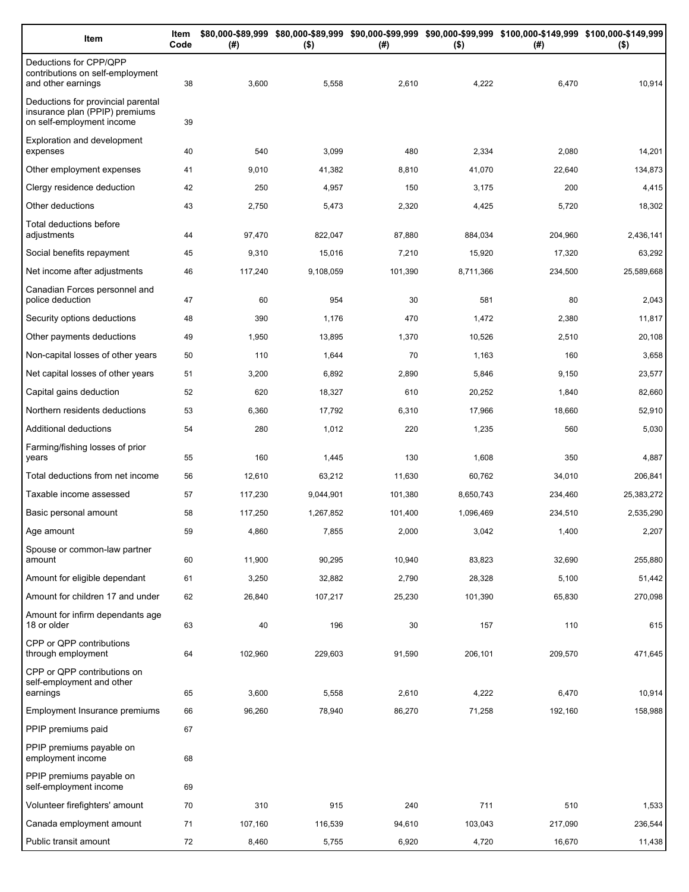| Item                                                                                              | Item<br>Code | (# )    | $($ \$)   | (#)     | $($ \$)   | \$80,000-\$89,999 \$80,000-\$89,999 \$90,000-\$99,999 \$90,000-\$99,999 \$100,000-\$149,999 \$100,000-\$149,999<br>(#) | $($ \$)    |
|---------------------------------------------------------------------------------------------------|--------------|---------|-----------|---------|-----------|------------------------------------------------------------------------------------------------------------------------|------------|
| Deductions for CPP/QPP<br>contributions on self-employment<br>and other earnings                  | 38           | 3,600   | 5,558     | 2,610   | 4,222     | 6,470                                                                                                                  | 10,914     |
| Deductions for provincial parental<br>insurance plan (PPIP) premiums<br>on self-employment income | 39           |         |           |         |           |                                                                                                                        |            |
| <b>Exploration and development</b><br>expenses                                                    | 40           | 540     | 3,099     | 480     | 2,334     | 2,080                                                                                                                  | 14,201     |
| Other employment expenses                                                                         | 41           | 9,010   | 41,382    | 8,810   | 41,070    | 22,640                                                                                                                 | 134,873    |
| Clergy residence deduction                                                                        | 42           | 250     | 4,957     | 150     | 3,175     | 200                                                                                                                    | 4,415      |
| Other deductions                                                                                  | 43           | 2,750   | 5,473     | 2,320   | 4,425     | 5,720                                                                                                                  | 18,302     |
| Total deductions before<br>adjustments                                                            | 44           | 97,470  | 822,047   | 87,880  | 884,034   | 204,960                                                                                                                | 2,436,141  |
| Social benefits repayment                                                                         | 45           | 9,310   | 15,016    | 7,210   | 15,920    | 17,320                                                                                                                 | 63,292     |
| Net income after adjustments                                                                      | 46           | 117,240 | 9,108,059 | 101,390 | 8,711,366 | 234,500                                                                                                                | 25,589,668 |
| Canadian Forces personnel and<br>police deduction                                                 | 47           | 60      | 954       | 30      | 581       | 80                                                                                                                     | 2,043      |
| Security options deductions                                                                       | 48           | 390     | 1,176     | 470     | 1,472     | 2,380                                                                                                                  | 11,817     |
| Other payments deductions                                                                         | 49           | 1,950   | 13,895    | 1,370   | 10,526    | 2,510                                                                                                                  | 20,108     |
| Non-capital losses of other years                                                                 | 50           | 110     | 1,644     | 70      | 1,163     | 160                                                                                                                    | 3,658      |
| Net capital losses of other years                                                                 | 51           | 3,200   | 6,892     | 2,890   | 5,846     | 9,150                                                                                                                  | 23,577     |
| Capital gains deduction                                                                           | 52           | 620     | 18,327    | 610     | 20,252    | 1,840                                                                                                                  | 82,660     |
| Northern residents deductions                                                                     | 53           | 6,360   | 17,792    | 6,310   | 17,966    | 18,660                                                                                                                 | 52,910     |
| Additional deductions                                                                             | 54           | 280     | 1,012     | 220     | 1,235     | 560                                                                                                                    | 5,030      |
| Farming/fishing losses of prior<br>years                                                          | 55           | 160     | 1,445     | 130     | 1,608     | 350                                                                                                                    | 4,887      |
| Total deductions from net income                                                                  | 56           | 12,610  | 63,212    | 11,630  | 60,762    | 34,010                                                                                                                 | 206,841    |
| Taxable income assessed                                                                           | 57           | 117,230 | 9,044,901 | 101,380 | 8,650,743 | 234,460                                                                                                                | 25,383,272 |
| Basic personal amount                                                                             | 58           | 117,250 | 1,267,852 | 101,400 | 1,096,469 | 234,510                                                                                                                | 2,535,290  |
| Age amount                                                                                        | 59           | 4,860   | 7,855     | 2,000   | 3,042     | 1,400                                                                                                                  | 2,207      |
| Spouse or common-law partner<br>amount                                                            | 60           | 11,900  | 90,295    | 10,940  | 83,823    | 32,690                                                                                                                 | 255,880    |
| Amount for eligible dependant                                                                     | 61           | 3,250   | 32,882    | 2,790   | 28,328    | 5,100                                                                                                                  | 51,442     |
| Amount for children 17 and under                                                                  | 62           | 26,840  | 107,217   | 25,230  | 101,390   | 65,830                                                                                                                 | 270,098    |
| Amount for infirm dependants age<br>18 or older                                                   | 63           | 40      | 196       | 30      | 157       | 110                                                                                                                    | 615        |
| CPP or QPP contributions<br>through employment                                                    | 64           | 102,960 | 229,603   | 91,590  | 206,101   | 209,570                                                                                                                | 471,645    |
| CPP or QPP contributions on<br>self-employment and other                                          |              |         |           |         |           |                                                                                                                        |            |
| earnings                                                                                          | 65           | 3,600   | 5,558     | 2,610   | 4,222     | 6,470                                                                                                                  | 10,914     |
| Employment Insurance premiums                                                                     | 66           | 96,260  | 78,940    | 86,270  | 71,258    | 192,160                                                                                                                | 158,988    |
| PPIP premiums paid                                                                                | 67           |         |           |         |           |                                                                                                                        |            |
| PPIP premiums payable on<br>employment income                                                     | 68           |         |           |         |           |                                                                                                                        |            |
| PPIP premiums payable on<br>self-employment income                                                | 69           |         |           |         |           |                                                                                                                        |            |
| Volunteer firefighters' amount                                                                    | 70           | 310     | 915       | 240     | 711       | 510                                                                                                                    | 1,533      |
| Canada employment amount                                                                          | 71           | 107,160 | 116,539   | 94,610  | 103,043   | 217,090                                                                                                                | 236,544    |
| Public transit amount                                                                             | 72           | 8,460   | 5,755     | 6,920   | 4,720     | 16,670                                                                                                                 | 11,438     |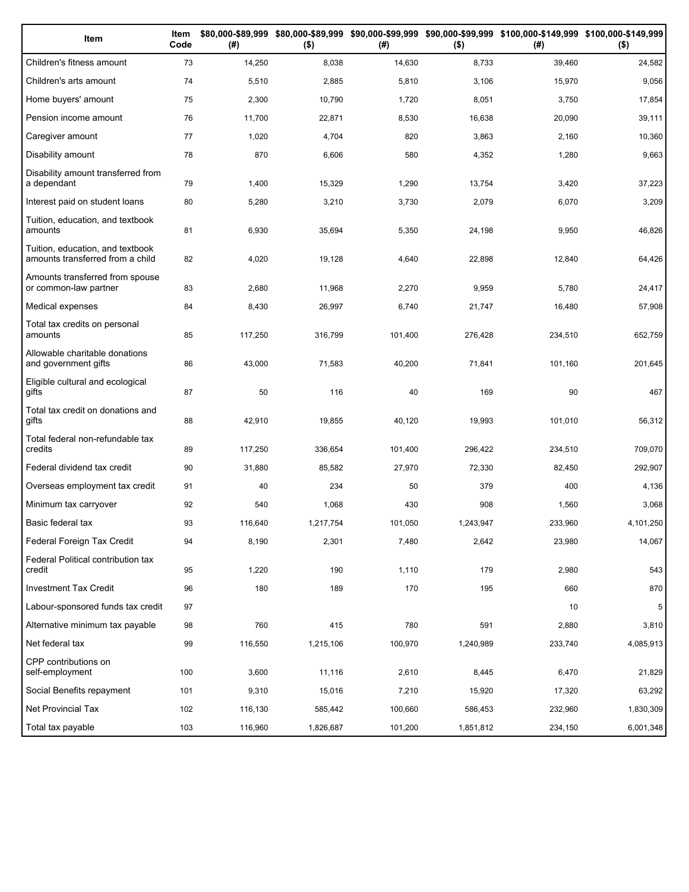| Item                                                                 | Item<br>Code | (#)     | $($ \$)   | (# )    | $($ \$)   | \$80,000-\$89,999 \$80,000-\$89,999 \$90,000-\$99,999 \$90,000-\$99,999 \$100,000-\$149,999 \$100,000-\$149,999<br>(#) | $($ \$)   |
|----------------------------------------------------------------------|--------------|---------|-----------|---------|-----------|------------------------------------------------------------------------------------------------------------------------|-----------|
| Children's fitness amount                                            | 73           | 14,250  | 8,038     | 14,630  | 8,733     | 39,460                                                                                                                 | 24,582    |
| Children's arts amount                                               | 74           | 5,510   | 2,885     | 5,810   | 3,106     | 15,970                                                                                                                 | 9,056     |
| Home buyers' amount                                                  | 75           | 2,300   | 10,790    | 1,720   | 8,051     | 3,750                                                                                                                  | 17,854    |
| Pension income amount                                                | 76           | 11,700  | 22,871    | 8,530   | 16,638    | 20,090                                                                                                                 | 39,111    |
| Caregiver amount                                                     | 77           | 1,020   | 4,704     | 820     | 3,863     | 2,160                                                                                                                  | 10,360    |
| Disability amount                                                    | 78           | 870     | 6,606     | 580     | 4,352     | 1,280                                                                                                                  | 9,663     |
| Disability amount transferred from<br>a dependant                    | 79           | 1,400   | 15,329    | 1,290   | 13,754    | 3,420                                                                                                                  | 37,223    |
| Interest paid on student loans                                       | 80           | 5,280   | 3,210     | 3,730   | 2,079     | 6,070                                                                                                                  | 3,209     |
| Tuition, education, and textbook<br>amounts                          | 81           | 6,930   | 35,694    | 5,350   | 24,198    | 9,950                                                                                                                  | 46,826    |
| Tuition, education, and textbook<br>amounts transferred from a child | 82           | 4,020   | 19,128    | 4,640   | 22,898    | 12,840                                                                                                                 | 64,426    |
| Amounts transferred from spouse<br>or common-law partner             | 83           | 2,680   | 11,968    | 2,270   | 9,959     | 5,780                                                                                                                  | 24,417    |
| Medical expenses                                                     | 84           | 8,430   | 26,997    | 6,740   | 21,747    | 16,480                                                                                                                 | 57,908    |
| Total tax credits on personal<br>amounts                             | 85           | 117,250 | 316,799   | 101,400 | 276,428   | 234,510                                                                                                                | 652,759   |
| Allowable charitable donations<br>and government gifts               | 86           | 43,000  | 71,583    | 40,200  | 71,841    | 101,160                                                                                                                | 201,645   |
| Eligible cultural and ecological<br>gifts                            | 87           | 50      | 116       | 40      | 169       | 90                                                                                                                     | 467       |
| Total tax credit on donations and<br>gifts                           | 88           | 42,910  | 19,855    | 40,120  | 19,993    | 101,010                                                                                                                | 56,312    |
| Total federal non-refundable tax<br>credits                          | 89           | 117,250 | 336,654   | 101,400 | 296,422   | 234,510                                                                                                                | 709,070   |
| Federal dividend tax credit                                          | 90           | 31,880  | 85,582    | 27,970  | 72,330    | 82,450                                                                                                                 | 292,907   |
| Overseas employment tax credit                                       | 91           | 40      | 234       | 50      | 379       | 400                                                                                                                    | 4,136     |
| Minimum tax carryover                                                | 92           | 540     | 1,068     | 430     | 908       | 1,560                                                                                                                  | 3,068     |
| Basic federal tax                                                    | 93           | 116,640 | 1,217,754 | 101,050 | 1,243,947 | 233,960                                                                                                                | 4,101,250 |
| Federal Foreign Tax Credit                                           | 94           | 8,190   | 2,301     | 7,480   | 2,642     | 23,980                                                                                                                 | 14,067    |
| Federal Political contribution tax<br>credit                         | 95           | 1,220   | 190       | 1,110   | 179       | 2,980                                                                                                                  | 543       |
| Investment Tax Credit                                                | 96           | 180     | 189       | 170     | 195       | 660                                                                                                                    | 870       |
| Labour-sponsored funds tax credit                                    | 97           |         |           |         |           | 10                                                                                                                     | 5         |
| Alternative minimum tax payable                                      | 98           | 760     | 415       | 780     | 591       | 2,880                                                                                                                  | 3,810     |
| Net federal tax                                                      | 99           | 116,550 | 1,215,106 | 100,970 | 1,240,989 | 233,740                                                                                                                | 4,085,913 |
| CPP contributions on<br>self-employment                              | 100          | 3,600   | 11,116    | 2,610   | 8,445     | 6,470                                                                                                                  | 21,829    |
| Social Benefits repayment                                            | 101          | 9,310   | 15,016    | 7,210   | 15,920    | 17,320                                                                                                                 | 63,292    |
| Net Provincial Tax                                                   | 102          | 116,130 | 585,442   | 100,660 | 586,453   | 232,960                                                                                                                | 1,830,309 |
| Total tax payable                                                    | 103          | 116,960 | 1,826,687 | 101,200 | 1,851,812 | 234,150                                                                                                                | 6,001,348 |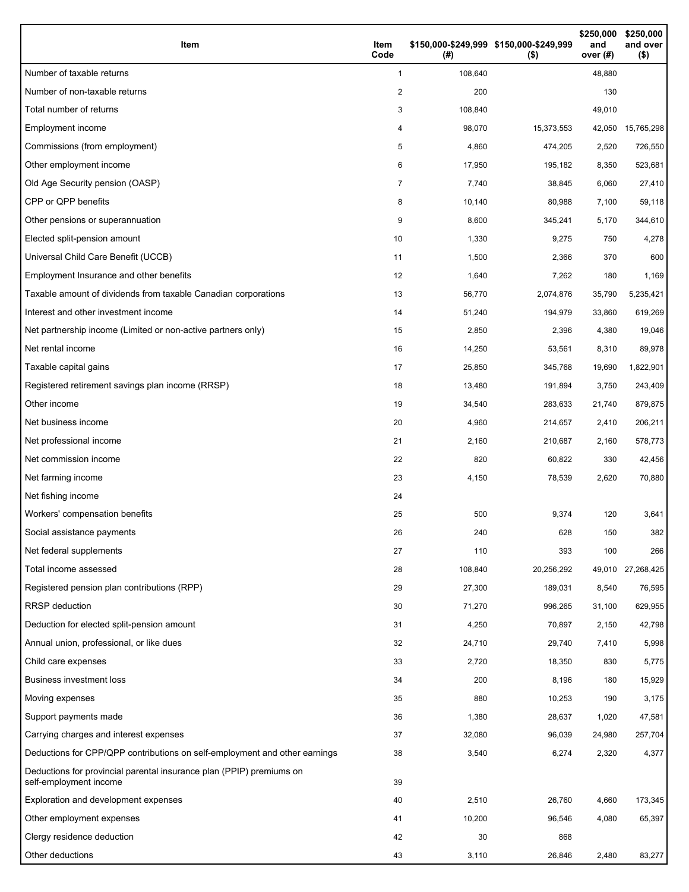| Item                                                                                           | Item<br>Code   | \$150,000-\$249,999 \$150,000-\$249,999<br>(#) | $($ \$)    | \$250,000<br>and<br>over (#) | \$250,000<br>and over<br>$($ \$) |
|------------------------------------------------------------------------------------------------|----------------|------------------------------------------------|------------|------------------------------|----------------------------------|
| Number of taxable returns                                                                      | 1              | 108,640                                        |            | 48,880                       |                                  |
| Number of non-taxable returns                                                                  | 2              | 200                                            |            | 130                          |                                  |
| Total number of returns                                                                        | 3              | 108,840                                        |            | 49,010                       |                                  |
| Employment income                                                                              | 4              | 98,070                                         | 15,373,553 | 42,050                       | 15,765,298                       |
| Commissions (from employment)                                                                  | 5              | 4,860                                          | 474,205    | 2,520                        | 726,550                          |
| Other employment income                                                                        | 6              | 17,950                                         | 195,182    | 8,350                        | 523,681                          |
| Old Age Security pension (OASP)                                                                | $\overline{7}$ | 7,740                                          | 38,845     | 6,060                        | 27,410                           |
| CPP or QPP benefits                                                                            | 8              | 10,140                                         | 80,988     | 7,100                        | 59,118                           |
| Other pensions or superannuation                                                               | 9              | 8,600                                          | 345,241    | 5,170                        | 344,610                          |
| Elected split-pension amount                                                                   | 10             | 1,330                                          | 9,275      | 750                          | 4,278                            |
| Universal Child Care Benefit (UCCB)                                                            | 11             | 1,500                                          | 2,366      | 370                          | 600                              |
| Employment Insurance and other benefits                                                        | 12             | 1,640                                          | 7,262      | 180                          | 1,169                            |
| Taxable amount of dividends from taxable Canadian corporations                                 | 13             | 56,770                                         | 2,074,876  | 35,790                       | 5,235,421                        |
| Interest and other investment income                                                           | 14             | 51,240                                         | 194,979    | 33,860                       | 619,269                          |
| Net partnership income (Limited or non-active partners only)                                   | 15             | 2,850                                          | 2,396      | 4,380                        | 19,046                           |
| Net rental income                                                                              | 16             | 14,250                                         | 53,561     | 8,310                        | 89,978                           |
| Taxable capital gains                                                                          | 17             | 25,850                                         | 345,768    | 19,690                       | 1,822,901                        |
| Registered retirement savings plan income (RRSP)                                               | 18             | 13,480                                         | 191,894    | 3,750                        | 243,409                          |
| Other income                                                                                   | 19             | 34,540                                         | 283,633    | 21,740                       | 879,875                          |
| Net business income                                                                            | 20             | 4,960                                          | 214,657    | 2,410                        | 206,211                          |
| Net professional income                                                                        | 21             | 2,160                                          | 210,687    | 2,160                        | 578,773                          |
| Net commission income                                                                          | 22             | 820                                            | 60,822     | 330                          | 42,456                           |
| Net farming income                                                                             | 23             | 4,150                                          | 78,539     | 2,620                        | 70,880                           |
| Net fishing income                                                                             | 24             |                                                |            |                              |                                  |
| Workers' compensation benefits                                                                 | 25             | 500                                            | 9,374      | 120                          | 3,641                            |
| Social assistance payments                                                                     | 26             | 240                                            | 628        | 150                          | 382                              |
| Net federal supplements                                                                        | 27             | 110                                            | 393        | 100                          | 266                              |
| Total income assessed                                                                          | 28             | 108,840                                        | 20,256,292 |                              | 49,010 27,268,425                |
| Registered pension plan contributions (RPP)                                                    | 29             | 27,300                                         | 189,031    | 8,540                        | 76,595                           |
| RRSP deduction                                                                                 | 30             | 71,270                                         | 996,265    | 31,100                       | 629,955                          |
| Deduction for elected split-pension amount                                                     | 31             | 4,250                                          | 70,897     | 2,150                        | 42,798                           |
| Annual union, professional, or like dues                                                       | 32             | 24,710                                         | 29,740     | 7,410                        | 5,998                            |
| Child care expenses                                                                            | 33             | 2,720                                          | 18,350     | 830                          | 5,775                            |
| Business investment loss                                                                       | 34             | 200                                            | 8,196      | 180                          | 15,929                           |
| Moving expenses                                                                                | 35             | 880                                            | 10,253     | 190                          | 3,175                            |
| Support payments made                                                                          | 36             | 1,380                                          | 28,637     | 1,020                        | 47,581                           |
| Carrying charges and interest expenses                                                         | 37             | 32,080                                         | 96,039     | 24,980                       | 257,704                          |
| Deductions for CPP/QPP contributions on self-employment and other earnings                     | 38             | 3,540                                          | 6,274      | 2,320                        | 4,377                            |
| Deductions for provincial parental insurance plan (PPIP) premiums on<br>self-employment income | 39             |                                                |            |                              |                                  |
| Exploration and development expenses                                                           | 40             | 2,510                                          | 26,760     | 4,660                        | 173,345                          |
| Other employment expenses                                                                      | 41             | 10,200                                         | 96,546     | 4,080                        | 65,397                           |
| Clergy residence deduction                                                                     | 42             | 30                                             | 868        |                              |                                  |
| Other deductions                                                                               | 43             | 3,110                                          | 26,846     | 2,480                        | 83,277                           |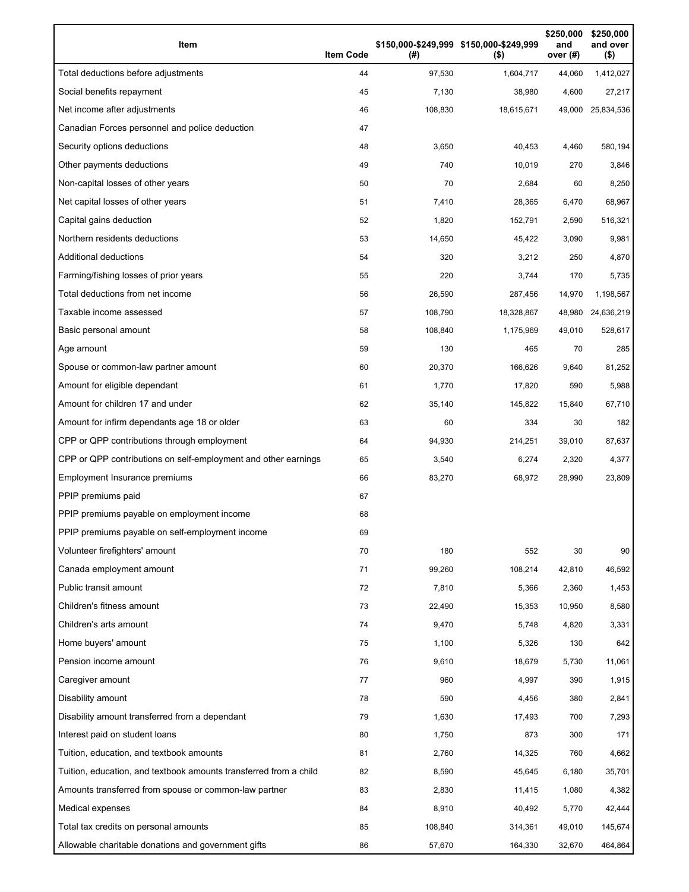| Item                                                              | <b>Item Code</b> | (#)     | \$150,000-\$249,999 \$150,000-\$249,999<br>$($ \$) | \$250,000<br>and<br>over (#) | \$250,000<br>and over<br>$($ \$) |
|-------------------------------------------------------------------|------------------|---------|----------------------------------------------------|------------------------------|----------------------------------|
| Total deductions before adjustments                               | 44               | 97,530  | 1,604,717                                          | 44,060                       | 1,412,027                        |
| Social benefits repayment                                         | 45               | 7,130   | 38,980                                             | 4,600                        | 27,217                           |
| Net income after adjustments                                      | 46               | 108,830 | 18,615,671                                         | 49,000                       | 25,834,536                       |
| Canadian Forces personnel and police deduction                    | 47               |         |                                                    |                              |                                  |
| Security options deductions                                       | 48               | 3,650   | 40,453                                             | 4,460                        | 580,194                          |
| Other payments deductions                                         | 49               | 740     | 10,019                                             | 270                          | 3,846                            |
| Non-capital losses of other years                                 | 50               | 70      | 2,684                                              | 60                           | 8,250                            |
| Net capital losses of other years                                 | 51               | 7,410   | 28,365                                             | 6,470                        | 68,967                           |
| Capital gains deduction                                           | 52               | 1,820   | 152,791                                            | 2,590                        | 516,321                          |
| Northern residents deductions                                     | 53               | 14,650  | 45,422                                             | 3,090                        | 9,981                            |
| <b>Additional deductions</b>                                      | 54               | 320     | 3,212                                              | 250                          | 4,870                            |
| Farming/fishing losses of prior years                             | 55               | 220     | 3,744                                              | 170                          | 5,735                            |
| Total deductions from net income                                  | 56               | 26,590  | 287,456                                            | 14,970                       | 1,198,567                        |
| Taxable income assessed                                           | 57               | 108,790 | 18,328,867                                         | 48,980                       | 24,636,219                       |
| Basic personal amount                                             | 58               | 108,840 | 1,175,969                                          | 49,010                       | 528,617                          |
| Age amount                                                        | 59               | 130     | 465                                                | 70                           | 285                              |
| Spouse or common-law partner amount                               | 60               | 20,370  | 166,626                                            | 9,640                        | 81,252                           |
| Amount for eligible dependant                                     | 61               | 1,770   | 17,820                                             | 590                          | 5,988                            |
| Amount for children 17 and under                                  | 62               | 35,140  | 145,822                                            | 15,840                       | 67,710                           |
| Amount for infirm dependants age 18 or older                      | 63               | 60      | 334                                                | 30                           | 182                              |
| CPP or QPP contributions through employment                       | 64               | 94,930  | 214,251                                            | 39,010                       | 87,637                           |
| CPP or QPP contributions on self-employment and other earnings    | 65               | 3,540   | 6,274                                              | 2,320                        | 4,377                            |
| Employment Insurance premiums                                     | 66               | 83,270  | 68,972                                             | 28,990                       | 23,809                           |
| PPIP premiums paid                                                | 67               |         |                                                    |                              |                                  |
| PPIP premiums payable on employment income                        | 68               |         |                                                    |                              |                                  |
| PPIP premiums payable on self-employment income                   | 69               |         |                                                    |                              |                                  |
| Volunteer firefighters' amount                                    | 70               | 180     | 552                                                | 30                           | 90                               |
| Canada employment amount                                          | 71               | 99,260  | 108,214                                            | 42,810                       | 46,592                           |
| Public transit amount                                             | 72               | 7,810   | 5,366                                              | 2,360                        | 1,453                            |
| Children's fitness amount                                         | 73               | 22,490  | 15,353                                             | 10,950                       | 8,580                            |
| Children's arts amount                                            | 74               | 9,470   | 5,748                                              | 4,820                        | 3,331                            |
| Home buyers' amount                                               | 75               | 1,100   | 5,326                                              | 130                          | 642                              |
| Pension income amount                                             | 76               | 9,610   | 18,679                                             | 5,730                        | 11,061                           |
| Caregiver amount                                                  | 77               | 960     | 4,997                                              | 390                          | 1,915                            |
| Disability amount                                                 | 78               | 590     | 4,456                                              | 380                          | 2,841                            |
| Disability amount transferred from a dependant                    | 79               | 1,630   | 17,493                                             | 700                          | 7,293                            |
| Interest paid on student loans                                    | 80               | 1,750   | 873                                                | 300                          | 171                              |
| Tuition, education, and textbook amounts                          | 81               | 2,760   | 14,325                                             | 760                          | 4,662                            |
| Tuition, education, and textbook amounts transferred from a child | 82               | 8,590   | 45,645                                             | 6,180                        | 35,701                           |
| Amounts transferred from spouse or common-law partner             | 83               | 2,830   | 11,415                                             | 1,080                        | 4,382                            |
| Medical expenses                                                  | 84               | 8,910   | 40,492                                             | 5,770                        | 42,444                           |
| Total tax credits on personal amounts                             | 85               | 108,840 | 314,361                                            | 49,010                       | 145,674                          |
| Allowable charitable donations and government gifts               | 86               | 57,670  | 164,330                                            | 32,670                       | 464,864                          |